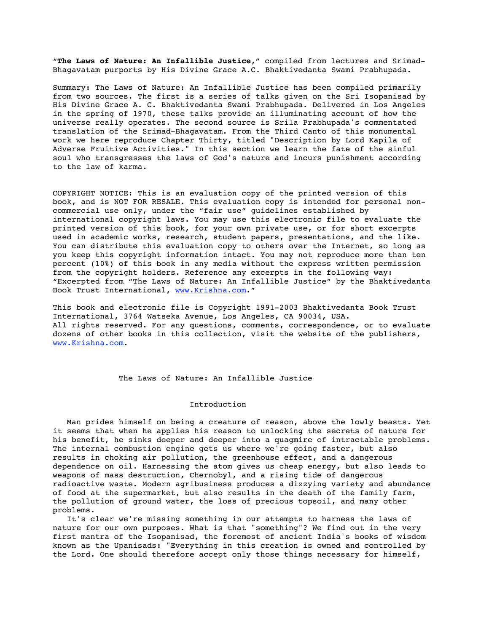"**The Laws of Nature: An Infallible Justice,**" compiled from lectures and Srimad-Bhagavatam purports by His Divine Grace A.C. Bhaktivedanta Swami Prabhupada.

Summary: The Laws of Nature: An Infallible Justice has been compiled primarily from two sources. The first is a series of talks given on the Sri Isopanisad by His Divine Grace A. C. Bhaktivedanta Swami Prabhupada. Delivered in Los Angeles in the spring of 1970, these talks provide an illuminating account of how the universe really operates. The second source is Srila Prabhupada's commentated translation of the Srimad-Bhagavatam. From the Third Canto of this monumental work we here reproduce Chapter Thirty, titled "Description by Lord Kapila of Adverse Fruitive Activities." In this section we learn the fate of the sinful soul who transgresses the laws of God's nature and incurs punishment according to the law of karma.

COPYRIGHT NOTICE: This is an evaluation copy of the printed version of this book, and is NOT FOR RESALE. This evaluation copy is intended for personal noncommercial use only, under the "fair use" guidelines established by international copyright laws. You may use this electronic file to evaluate the printed version of this book, for your own private use, or for short excerpts used in academic works, research, student papers, presentations, and the like. You can distribute this evaluation copy to others over the Internet, so long as you keep this copyright information intact. You may not reproduce more than ten percent (10%) of this book in any media without the express written permission from the copyright holders. Reference any excerpts in the following way: "Excerpted from "The Laws of Nature: An Infallible Justice" by the Bhaktivedanta Book Trust International, www.Krishna.com."

This book and electronic file is Copyright 1991-2003 Bhaktivedanta Book Trust International, 3764 Watseka Avenue, Los Angeles, CA 90034, USA. All rights reserved. For any questions, comments, correspondence, or to evaluate dozens of other books in this collection, visit the website of the publishers, www.Krishna.com.

The Laws of Nature: An Infallible Justice

## Introduction

 Man prides himself on being a creature of reason, above the lowly beasts. Yet it seems that when he applies his reason to unlocking the secrets of nature for his benefit, he sinks deeper and deeper into a quagmire of intractable problems. The internal combustion engine gets us where we're going faster, but also results in choking air pollution, the greenhouse effect, and a dangerous dependence on oil. Harnessing the atom gives us cheap energy, but also leads to weapons of mass destruction, Chernobyl, and a rising tide of dangerous radioactive waste. Modern agribusiness produces a dizzying variety and abundance of food at the supermarket, but also results in the death of the family farm, the pollution of ground water, the loss of precious topsoil, and many other problems.

 It's clear we're missing something in our attempts to harness the laws of nature for our own purposes. What is that "something"? We find out in the very first mantra of the Isopanisad, the foremost of ancient India's books of wisdom known as the Upanisads: "Everything in this creation is owned and controlled by the Lord. One should therefore accept only those things necessary for himself,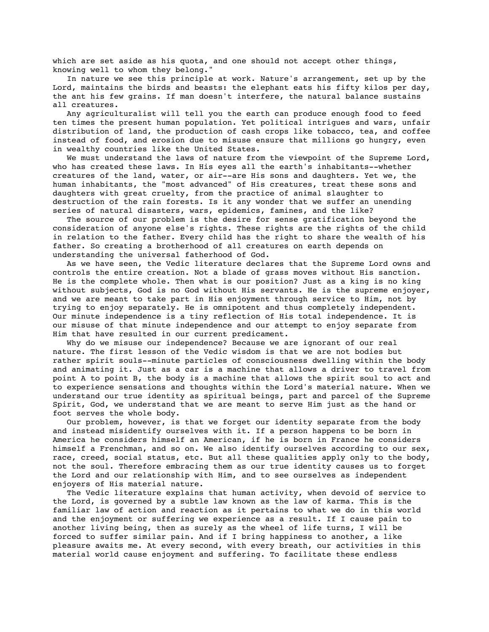which are set aside as his quota, and one should not accept other things, knowing well to whom they belong."

 In nature we see this principle at work. Nature's arrangement, set up by the Lord, maintains the birds and beasts: the elephant eats his fifty kilos per day, the ant his few grains. If man doesn't interfere, the natural balance sustains all creatures.

 Any agriculturalist will tell you the earth can produce enough food to feed ten times the present human population. Yet political intrigues and wars, unfair distribution of land, the production of cash crops like tobacco, tea, and coffee instead of food, and erosion due to misuse ensure that millions go hungry, even in wealthy countries like the United States.

 We must understand the laws of nature from the viewpoint of the Supreme Lord, who has created these laws. In His eyes all the earth's inhabitants--whether creatures of the land, water, or air--are His sons and daughters. Yet we, the human inhabitants, the "most advanced" of His creatures, treat these sons and daughters with great cruelty, from the practice of animal slaughter to destruction of the rain forests. Is it any wonder that we suffer an unending series of natural disasters, wars, epidemics, famines, and the like?

 The source of our problem is the desire for sense gratification beyond the consideration of anyone else's rights. These rights are the rights of the child in relation to the father. Every child has the right to share the wealth of his father. So creating a brotherhood of all creatures on earth depends on understanding the universal fatherhood of God.

 As we have seen, the Vedic literature declares that the Supreme Lord owns and controls the entire creation. Not a blade of grass moves without His sanction. He is the complete whole. Then what is our position? Just as a king is no king without subjects, God is no God without His servants. He is the supreme enjoyer, and we are meant to take part in His enjoyment through service to Him, not by trying to enjoy separately. He is omnipotent and thus completely independent. Our minute independence is a tiny reflection of His total independence. It is our misuse of that minute independence and our attempt to enjoy separate from Him that have resulted in our current predicament.

 Why do we misuse our independence? Because we are ignorant of our real nature. The first lesson of the Vedic wisdom is that we are not bodies but rather spirit souls--minute particles of consciousness dwelling within the body and animating it. Just as a car is a machine that allows a driver to travel from point A to point B, the body is a machine that allows the spirit soul to act and to experience sensations and thoughts within the Lord's material nature. When we understand our true identity as spiritual beings, part and parcel of the Supreme Spirit, God, we understand that we are meant to serve Him just as the hand or foot serves the whole body.

 Our problem, however, is that we forget our identity separate from the body and instead misidentify ourselves with it. If a person happens to be born in America he considers himself an American, if he is born in France he considers himself a Frenchman, and so on. We also identify ourselves according to our sex, race, creed, social status, etc. But all these qualities apply only to the body, not the soul. Therefore embracing them as our true identity causes us to forget the Lord and our relationship with Him, and to see ourselves as independent enjoyers of His material nature.

 The Vedic literature explains that human activity, when devoid of service to the Lord, is governed by a subtle law known as the law of karma. This is the familiar law of action and reaction as it pertains to what we do in this world and the enjoyment or suffering we experience as a result. If I cause pain to another living being, then as surely as the wheel of life turns, I will be forced to suffer similar pain. And if I bring happiness to another, a like pleasure awaits me. At every second, with every breath, our activities in this material world cause enjoyment and suffering. To facilitate these endless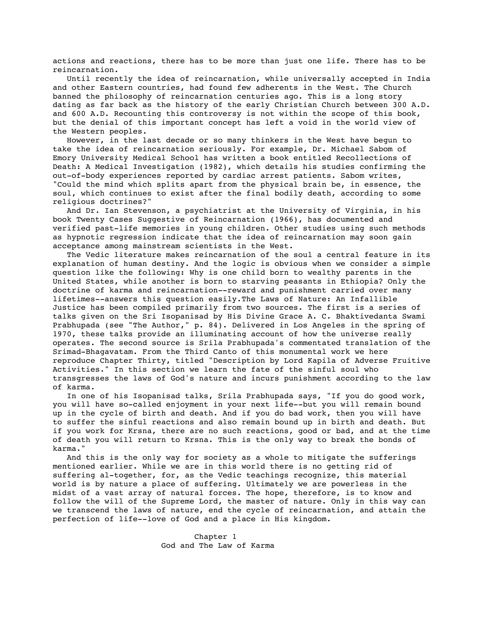actions and reactions, there has to be more than just one life. There has to be reincarnation.

 Until recently the idea of reincarnation, while universally accepted in India and other Eastern countries, had found few adherents in the West. The Church banned the philosophy of reincarnation centuries ago. This is a long story dating as far back as the history of the early Christian Church between 300 A.D. and 600 A.D. Recounting this controversy is not within the scope of this book, but the denial of this important concept has left a void in the world view of the Western peoples.

 However, in the last decade or so many thinkers in the West have begun to take the idea of reincarnation seriously. For example, Dr. Michael Sabom of Emory University Medical School has written a book entitled Recollections of Death: A Medical Investigation (1982), which details his studies confirming the out-of-body experiences reported by cardiac arrest patients. Sabom writes, "Could the mind which splits apart from the physical brain be, in essence, the soul, which continues to exist after the final bodily death, according to some religious doctrines?"

 And Dr. Ian Stevenson, a psychiatrist at the University of Virginia, in his book Twenty Cases Suggestive of Reincarnation (1966), has documented and verified past-life memories in young children. Other studies using such methods as hypnotic regression indicate that the idea of reincarnation may soon gain acceptance among mainstream scientists in the West.

 The Vedic literature makes reincarnation of the soul a central feature in its explanation of human destiny. And the logic is obvious when we consider a simple question like the following: Why is one child born to wealthy parents in the United States, while another is born to starving peasants in Ethiopia? Only the doctrine of karma and reincarnation--reward and punishment carried over many lifetimes--answers this question easily.The Laws of Nature: An Infallible Justice has been compiled primarily from two sources. The first is a series of talks given on the Sri Isopanisad by His Divine Grace A. C. Bhaktivedanta Swami Prabhupada (see "The Author," p. 84). Delivered in Los Angeles in the spring of 1970, these talks provide an illuminating account of how the universe really operates. The second source is Srila Prabhupada's commentated translation of the Srimad-Bhagavatam. From the Third Canto of this monumental work we here reproduce Chapter Thirty, titled "Description by Lord Kapila of Adverse Fruitive Activities." In this section we learn the fate of the sinful soul who transgresses the laws of God's nature and incurs punishment according to the law of karma.

 In one of his Isopanisad talks, Srila Prabhupada says, "If you do good work, you will have so-called enjoyment in your next life--but you will remain bound up in the cycle of birth and death. And if you do bad work, then you will have to suffer the sinful reactions and also remain bound up in birth and death. But if you work for Krsna, there are no such reactions, good or bad, and at the time of death you will return to Krsna. This is the only way to break the bonds of karma."

 And this is the only way for society as a whole to mitigate the sufferings mentioned earlier. While we are in this world there is no getting rid of suffering al-together, for, as the Vedic teachings recognize, this material world is by nature a place of suffering. Ultimately we are powerless in the midst of a vast array of natural forces. The hope, therefore, is to know and follow the will of the Supreme Lord, the master of nature. Only in this way can we transcend the laws of nature, end the cycle of reincarnation, and attain the perfection of life--love of God and a place in His kingdom.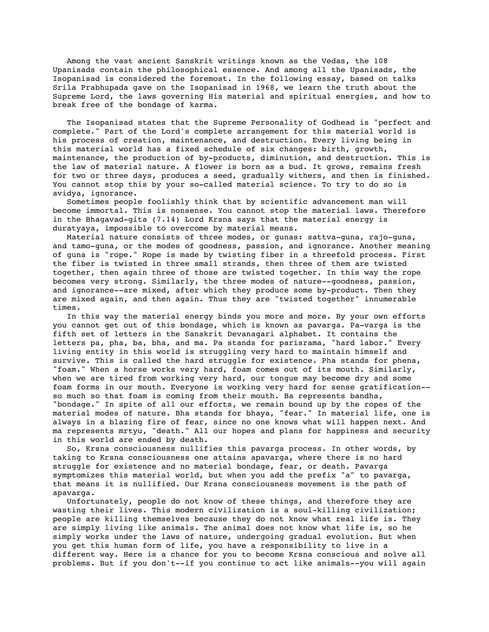Among the vast ancient Sanskrit writings known as the Vedas, the 108 Upanisads contain the philosophical essence. And among all the Upanisads, the Isopanisad is considered the foremost. In the following essay, based on talks Srila Prabhupada gave on the Isopanisad in 1968, we learn the truth about the Supreme Lord, the laws governing His material and spiritual energies, and how to break free of the bondage of karma.

 The Isopanisad states that the Supreme Personality of Godhead is "perfect and complete." Part of the Lord's complete arrangement for this material world is his process of creation, maintenance, and destruction. Every living being in this material world has a fixed schedule of six changes: birth, growth, maintenance, the production of by-products, diminution, and destruction. This is the law of material nature. A flower is born as a bud. It grows, remains fresh for two or three days, produces a seed, gradually withers, and then is finished. You cannot stop this by your so-called material science. To try to do so is avidya, ignorance.

 Sometimes people foolishly think that by scientific advancement man will become immortal. This is nonsense. You cannot stop the material laws. Therefore in the Bhagavad-gita (7.14) Lord Krsna says that the material energy is duratyaya, impossible to overcome by material means.

 Material nature consists of three modes, or gunas: sattva-guna, rajo-guna, and tamo-guna, or the modes of goodness, passion, and ignorance. Another meaning of guna is "rope." Rope is made by twisting fiber in a threefold process. First the fiber is twisted in three small strands, then three of them are twisted together, then again three of those are twisted together. In this way the rope becomes very strong. Similarly, the three modes of nature--goodness, passion, and ignorance--are mixed, after which they produce some by-product. Then they are mixed again, and then again. Thus they are "twisted together" innumerable times.

 In this way the material energy binds you more and more. By your own efforts you cannot get out of this bondage, which is known as pavarga. Pa-varga is the fifth set of letters in the Sanskrit Devanagari alphabet. It contains the letters pa, pha, ba, bha, and ma. Pa stands for parisrama, "hard labor." Every living entity in this world is struggling very hard to maintain himself and survive. This is called the hard struggle for existence. Pha stands for phena, "foam." When a horse works very hard, foam comes out of its mouth. Similarly, when we are tired from working very hard, our tongue may become dry and some foam forms in our mouth. Everyone is working very hard for sense gratification- so much so that foam is coming from their mouth. Ba represents bandha, "bondage." In spite of all our efforts, we remain bound up by the ropes of the material modes of nature. Bha stands for bhaya, "fear." In material life, one is always in a blazing fire of fear, since no one knows what will happen next. And ma represents mrtyu, "death." All our hopes and plans for happiness and security in this world are ended by death.

 So, Krsna consciousness nullifies this pavarga process. In other words, by taking to Krsna consciousness one attains apavarga, where there is no hard struggle for existence and no material bondage, fear, or death. Pavarga symptomizes this material world, but when you add the prefix "a" to pavarga, that means it is nullified. Our Krsna consciousness movement is the path of apavarga.

 Unfortunately, people do not know of these things, and therefore they are wasting their lives. This modern civilization is a soul-killing civilization; people are killing themselves because they do not know what real life is. They are simply living like animals. The animal does not know what life is, so he simply works under the laws of nature, undergoing gradual evolution. But when you get this human form of life, you have a responsibility to live in a different way. Here is a chance for you to become Krsna conscious and solve all problems. But if you don't--if you continue to act like animals--you will again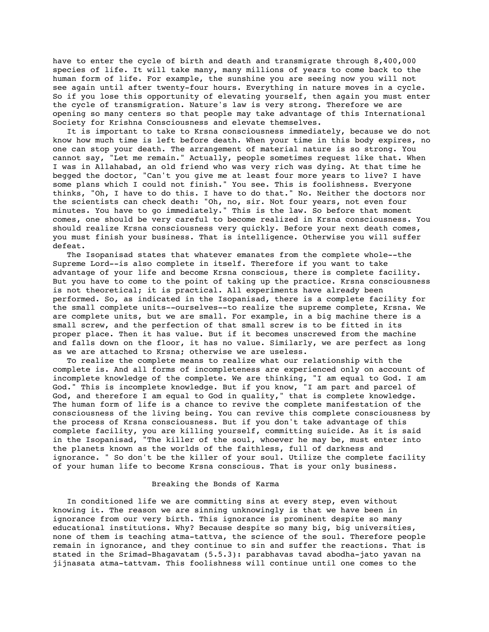have to enter the cycle of birth and death and transmigrate through 8,400,000 species of life. It will take many, many millions of years to come back to the human form of life. For example, the sunshine you are seeing now you will not see again until after twenty-four hours. Everything in nature moves in a cycle. So if you lose this opportunity of elevating yourself, then again you must enter the cycle of transmigration. Nature's law is very strong. Therefore we are opening so many centers so that people may take advantage of this International Society for Krishna Consciousness and elevate themselves.

 It is important to take to Krsna consciousness immediately, because we do not know how much time is left before death. When your time in this body expires, no one can stop your death. The arrangement of material nature is so strong. You cannot say, "Let me remain." Actually, people sometimes request like that. When I was in Allahabad, an old friend who was very rich was dying. At that time he begged the doctor, "Can't you give me at least four more years to live? I have some plans which I could not finish." You see. This is foolishness. Everyone thinks, "Oh, I have to do this. I have to do that." No. Neither the doctors nor the scientists can check death: "Oh, no, sir. Not four years, not even four minutes. You have to go immediately." This is the law. So before that moment comes, one should be very careful to become realized in Krsna consciousness. You should realize Krsna consciousness very quickly. Before your next death comes, you must finish your business. That is intelligence. Otherwise you will suffer defeat.

 The Isopanisad states that whatever emanates from the complete whole--the Supreme Lord--is also complete in itself. Therefore if you want to take advantage of your life and become Krsna conscious, there is complete facility. But you have to come to the point of taking up the practice. Krsna consciousness is not theoretical; it is practical. All experiments have already been performed. So, as indicated in the Isopanisad, there is a complete facility for the small complete units--ourselves--to realize the supreme complete, Krsna. We are complete units, but we are small. For example, in a big machine there is a small screw, and the perfection of that small screw is to be fitted in its proper place. Then it has value. But if it becomes unscrewed from the machine and falls down on the floor, it has no value. Similarly, we are perfect as long as we are attached to Krsna; otherwise we are useless.

 To realize the complete means to realize what our relationship with the complete is. And all forms of incompleteness are experienced only on account of incomplete knowledge of the complete. We are thinking, "I am equal to God. I am God." This is incomplete knowledge. But if you know, "I am part and parcel of God, and therefore I am equal to God in quality," that is complete knowledge. The human form of life is a chance to revive the complete manifestation of the consciousness of the living being. You can revive this complete consciousness by the process of Krsna consciousness. But if you don't take advantage of this complete facility, you are killing yourself, committing suicide. As it is said in the Isopanisad, "The killer of the soul, whoever he may be, must enter into the planets known as the worlds of the faithless, full of darkness and ignorance. " So don't be the killer of your soul. Utilize the complete facility of your human life to become Krsna conscious. That is your only business.

#### Breaking the Bonds of Karma

 In conditioned life we are committing sins at every step, even without knowing it. The reason we are sinning unknowingly is that we have been in ignorance from our very birth. This ignorance is prominent despite so many educational institutions. Why? Because despite so many big, big universities, none of them is teaching atma-tattva, the science of the soul. Therefore people remain in ignorance, and they continue to sin and suffer the reactions. That is stated in the Srimad-Bhagavatam (5.5.3): parabhavas tavad abodha-jato yavan na jijnasata atma-tattvam. This foolishness will continue until one comes to the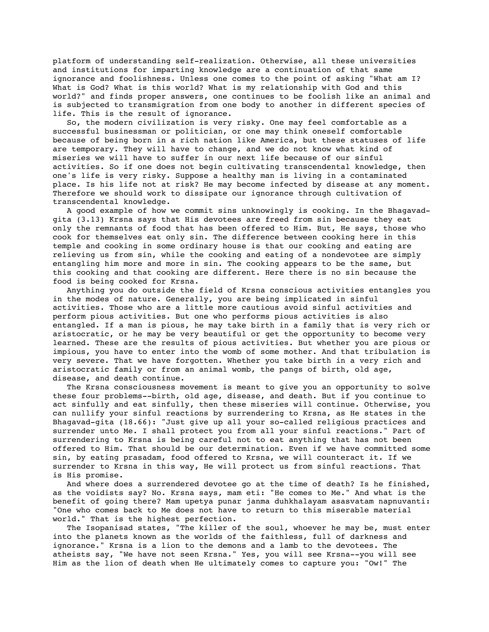platform of understanding self-realization. Otherwise, all these universities and institutions for imparting knowledge are a continuation of that same ignorance and foolishness. Unless one comes to the point of asking "What am I? What is God? What is this world? What is my relationship with God and this world?" and finds proper answers, one continues to be foolish like an animal and is subjected to transmigration from one body to another in different species of life. This is the result of ignorance.

 So, the modern civilization is very risky. One may feel comfortable as a successful businessman or politician, or one may think oneself comfortable because of being born in a rich nation like America, but these statuses of life are temporary. They will have to change, and we do not know what kind of miseries we will have to suffer in our next life because of our sinful activities. So if one does not begin cultivating transcendental knowledge, then one's life is very risky. Suppose a healthy man is living in a contaminated place. Is his life not at risk? He may become infected by disease at any moment. Therefore we should work to dissipate our ignorance through cultivation of transcendental knowledge.

 A good example of how we commit sins unknowingly is cooking. In the Bhagavadgita (3.13) Krsna says that His devotees are freed from sin because they eat only the remnants of food that has been offered to Him. But, He says, those who cook for themselves eat only sin. The difference between cooking here in this temple and cooking in some ordinary house is that our cooking and eating are relieving us from sin, while the cooking and eating of a nondevotee are simply entangling him more and more in sin. The cooking appears to be the same, but this cooking and that cooking are different. Here there is no sin because the food is being cooked for Krsna.

 Anything you do outside the field of Krsna conscious activities entangles you in the modes of nature. Generally, you are being implicated in sinful activities. Those who are a little more cautious avoid sinful activities and perform pious activities. But one who performs pious activities is also entangled. If a man is pious, he may take birth in a family that is very rich or aristocratic, or he may be very beautiful or get the opportunity to become very learned. These are the results of pious activities. But whether you are pious or impious, you have to enter into the womb of some mother. And that tribulation is very severe. That we have forgotten. Whether you take birth in a very rich and aristocratic family or from an animal womb, the pangs of birth, old age, disease, and death continue.

 The Krsna consciousness movement is meant to give you an opportunity to solve these four problems--birth, old age, disease, and death. But if you continue to act sinfully and eat sinfully, then these miseries will continue. Otherwise, you can nullify your sinful reactions by surrendering to Krsna, as He states in the Bhagavad-gita (18.66): "Just give up all your so-called religious practices and surrender unto Me. I shall protect you from all your sinful reactions." Part of surrendering to Krsna is being careful not to eat anything that has not been offered to Him. That should be our determination. Even if we have committed some sin, by eating prasadam, food offered to Krsna, we will counteract it. If we surrender to Krsna in this way, He will protect us from sinful reactions. That is His promise.

 And where does a surrendered devotee go at the time of death? Is he finished, as the voidists say? No. Krsna says, mam eti: "He comes to Me." And what is the benefit of going there? Mam upetya punar janma duhkhalayam asasvatam napnuvanti: "One who comes back to Me does not have to return to this miserable material world." That is the highest perfection.

 The Isopanisad states, "The killer of the soul, whoever he may be, must enter into the planets known as the worlds of the faithless, full of darkness and ignorance." Krsna is a lion to the demons and a lamb to the devotees. The atheists say, "We have not seen Krsna." Yes, you will see Krsna--you will see Him as the lion of death when He ultimately comes to capture you: "Ow!" The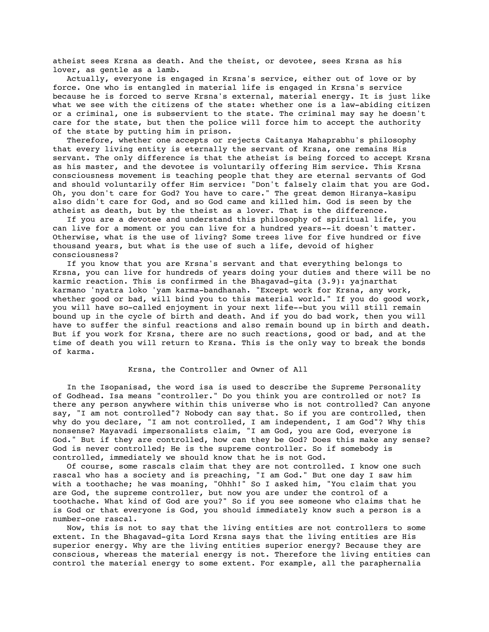atheist sees Krsna as death. And the theist, or devotee, sees Krsna as his lover, as gentle as a lamb.

 Actually, everyone is engaged in Krsna's service, either out of love or by force. One who is entangled in material life is engaged in Krsna's service because he is forced to serve Krsna's external, material energy. It is just like what we see with the citizens of the state: whether one is a law-abiding citizen or a criminal, one is subservient to the state. The criminal may say he doesn't care for the state, but then the police will force him to accept the authority of the state by putting him in prison.

 Therefore, whether one accepts or rejects Caitanya Mahaprabhu's philosophy that every living entity is eternally the servant of Krsna, one remains His servant. The only difference is that the atheist is being forced to accept Krsna as his master, and the devotee is voluntarily offering Him service. This Krsna consciousness movement is teaching people that they are eternal servants of God and should voluntarily offer Him service: "Don't falsely claim that you are God. Oh, you don't care for God? You have to care." The great demon Hiranya-kasipu also didn't care for God, and so God came and killed him. God is seen by the atheist as death, but by the theist as a lover. That is the difference.

 If you are a devotee and understand this philosophy of spiritual life, you can live for a moment or you can live for a hundred years--it doesn't matter. Otherwise, what is the use of living? Some trees live for five hundred or five thousand years, but what is the use of such a life, devoid of higher consciousness?

 If you know that you are Krsna's servant and that everything belongs to Krsna, you can live for hundreds of years doing your duties and there will be no karmic reaction. This is confirmed in the Bhagavad-gita (3.9): yajnarthat karmano 'nyatra loko 'yam karma-bandhanah. "Except work for Krsna, any work, whether good or bad, will bind you to this material world." If you do good work, you will have so-called enjoyment in your next life--but you will still remain bound up in the cycle of birth and death. And if you do bad work, then you will have to suffer the sinful reactions and also remain bound up in birth and death. But if you work for Krsna, there are no such reactions, good or bad, and at the time of death you will return to Krsna. This is the only way to break the bonds of karma.

#### Krsna, the Controller and Owner of All

 In the Isopanisad, the word isa is used to describe the Supreme Personality of Godhead. Isa means "controller." Do you think you are controlled or not? Is there any person anywhere within this universe who is not controlled? Can anyone say, "I am not controlled"? Nobody can say that. So if you are controlled, then why do you declare, "I am not controlled, I am independent, I am God"? Why this nonsense? Mayavadi impersonalists claim, "I am God, you are God, everyone is God." But if they are controlled, how can they be God? Does this make any sense? God is never controlled; He is the supreme controller. So if somebody is controlled, immediately we should know that he is not God.

 Of course, some rascals claim that they are not controlled. I know one such rascal who has a society and is preaching, "I am God." But one day I saw him with a toothache; he was moaning, "Ohhh!" So I asked him, "You claim that you are God, the supreme controller, but now you are under the control of a toothache. What kind of God are you?" So if you see someone who claims that he is God or that everyone is God, you should immediately know such a person is a number-one rascal.

 Now, this is not to say that the living entities are not controllers to some extent. In the Bhagavad-gita Lord Krsna says that the living entities are His superior energy. Why are the living entities superior energy? Because they are conscious, whereas the material energy is not. Therefore the living entities can control the material energy to some extent. For example, all the paraphernalia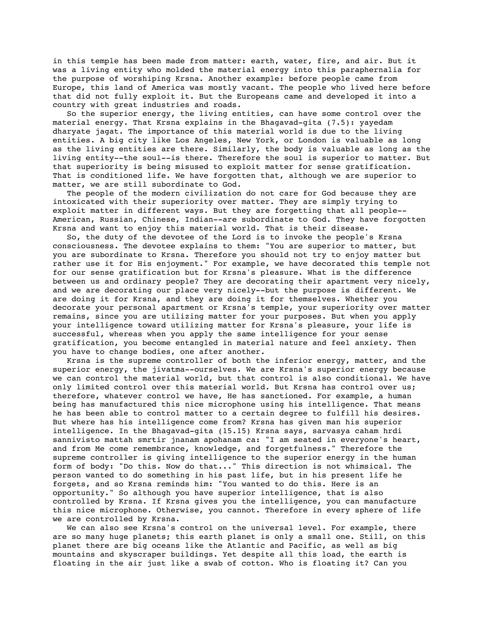in this temple has been made from matter: earth, water, fire, and air. But it was a living entity who molded the material energy into this paraphernalia for the purpose of worshiping Krsna. Another example: before people came from Europe, this land of America was mostly vacant. The people who lived here before that did not fully exploit it. But the Europeans came and developed it into a country with great industries and roads.

 So the superior energy, the living entities, can have some control over the material energy. That Krsna explains in the Bhagavad-gita (7.5): yayedam dharyate jagat. The importance of this material world is due to the living entities. A big city like Los Angeles, New York, or London is valuable as long as the living entities are there. Similarly, the body is valuable as long as the living entity--the soul--is there. Therefore the soul is superior to matter. But that superiority is being misused to exploit matter for sense gratification. That is conditioned life. We have forgotten that, although we are superior to matter, we are still subordinate to God.

 The people of the modern civilization do not care for God because they are intoxicated with their superiority over matter. They are simply trying to exploit matter in different ways. But they are forgetting that all people-- American, Russian, Chinese, Indian--are subordinate to God. They have forgotten Krsna and want to enjoy this material world. That is their disease.

 So, the duty of the devotee of the Lord is to invoke the people's Krsna consciousness. The devotee explains to them: "You are superior to matter, but you are subordinate to Krsna. Therefore you should not try to enjoy matter but rather use it for His enjoyment." For example, we have decorated this temple not for our sense gratification but for Krsna's pleasure. What is the difference between us and ordinary people? They are decorating their apartment very nicely, and we are decorating our place very nicely--but the purpose is different. We are doing it for Krsna, and they are doing it for themselves. Whether you decorate your personal apartment or Krsna's temple, your superiority over matter remains, since you are utilizing matter for your purposes. But when you apply your intelligence toward utilizing matter for Krsna's pleasure, your life is successful, whereas when you apply the same intelligence for your sense gratification, you become entangled in material nature and feel anxiety. Then you have to change bodies, one after another.

 Krsna is the supreme controller of both the inferior energy, matter, and the superior energy, the jivatma--ourselves. We are Krsna's superior energy because we can control the material world, but that control is also conditional. We have only limited control over this material world. But Krsna has control over us; therefore, whatever control we have, He has sanctioned. For example, a human being has manufactured this nice microphone using his intelligence. That means he has been able to control matter to a certain degree to fulfill his desires. But where has his intelligence come from? Krsna has given man his superior intelligence. In the Bhagavad-gita (15.15) Krsna says, sarvasya caham hrdi sannivisto mattah smrtir jnanam apohanam ca: "I am seated in everyone's heart, and from Me come remembrance, knowledge, and forgetfulness." Therefore the supreme controller is giving intelligence to the superior energy in the human form of body: "Do this. Now do that..." This direction is not whimsical. The person wanted to do something in his past life, but in his present life he forgets, and so Krsna reminds him: "You wanted to do this. Here is an opportunity." So although you have superior intelligence, that is also controlled by Krsna. If Krsna gives you the intelligence, you can manufacture this nice microphone. Otherwise, you cannot. Therefore in every sphere of life we are controlled by Krsna.

 We can also see Krsna's control on the universal level. For example, there are so many huge planets; this earth planet is only a small one. Still, on this planet there are big oceans like the Atlantic and Pacific, as well as big mountains and skyscraper buildings. Yet despite all this load, the earth is floating in the air just like a swab of cotton. Who is floating it? Can you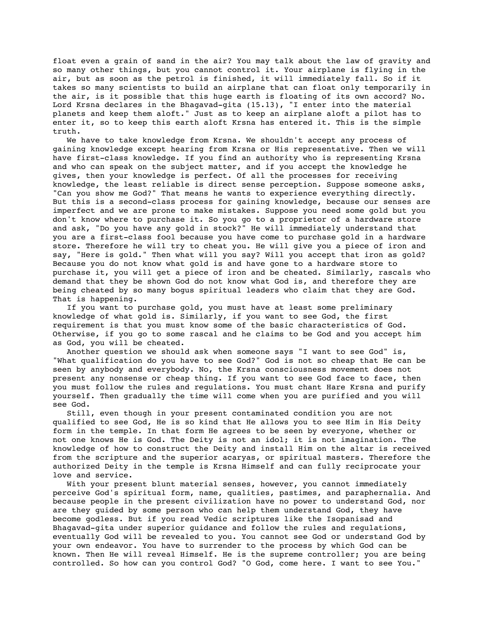float even a grain of sand in the air? You may talk about the law of gravity and so many other things, but you cannot control it. Your airplane is flying in the air, but as soon as the petrol is finished, it will immediately fall. So if it takes so many scientists to build an airplane that can float only temporarily in the air, is it possible that this huge earth is floating of its own accord? No. Lord Krsna declares in the Bhagavad-gita (15.13), "I enter into the material planets and keep them aloft." Just as to keep an airplane aloft a pilot has to enter it, so to keep this earth aloft Krsna has entered it. This is the simple truth.

 We have to take knowledge from Krsna. We shouldn't accept any process of gaining knowledge except hearing from Krsna or His representative. Then we will have first-class knowledge. If you find an authority who is representing Krsna and who can speak on the subject matter, and if you accept the knowledge he gives, then your knowledge is perfect. Of all the processes for receiving knowledge, the least reliable is direct sense perception. Suppose someone asks, "Can you show me God?" That means he wants to experience everything directly. But this is a second-class process for gaining knowledge, because our senses are imperfect and we are prone to make mistakes. Suppose you need some gold but you don't know where to purchase it. So you go to a proprietor of a hardware store and ask, "Do you have any gold in stock?" He will immediately understand that you are a first-class fool because you have come to purchase gold in a hardware store. Therefore he will try to cheat you. He will give you a piece of iron and say, "Here is gold." Then what will you say? Will you accept that iron as gold? Because you do not know what gold is and have gone to a hardware store to purchase it, you will get a piece of iron and be cheated. Similarly, rascals who demand that they be shown God do not know what God is, and therefore they are being cheated by so many bogus spiritual leaders who claim that they are God. That is happening.

 If you want to purchase gold, you must have at least some preliminary knowledge of what gold is. Similarly, if you want to see God, the first requirement is that you must know some of the basic characteristics of God. Otherwise, if you go to some rascal and he claims to be God and you accept him as God, you will be cheated.

Another question we should ask when someone says "I want to see God" is, "What qualification do you have to see God?" God is not so cheap that He can be seen by anybody and everybody. No, the Krsna consciousness movement does not present any nonsense or cheap thing. If you want to see God face to face, then you must follow the rules and regulations. You must chant Hare Krsna and purify yourself. Then gradually the time will come when you are purified and you will see God.

 Still, even though in your present contaminated condition you are not qualified to see God, He is so kind that He allows you to see Him in His Deity form in the temple. In that form He agrees to be seen by everyone, whether or not one knows He is God. The Deity is not an idol; it is not imagination. The knowledge of how to construct the Deity and install Him on the altar is received from the scripture and the superior acaryas, or spiritual masters. Therefore the authorized Deity in the temple is Krsna Himself and can fully reciprocate your love and service.

 With your present blunt material senses, however, you cannot immediately perceive God's spiritual form, name, qualities, pastimes, and paraphernalia. And because people in the present civilization have no power to understand God, nor are they guided by some person who can help them understand God, they have become godless. But if you read Vedic scriptures like the Isopanisad and Bhagavad-gita under superior guidance and follow the rules and regulations, eventually God will be revealed to you. You cannot see God or understand God by your own endeavor. You have to surrender to the process by which God can be known. Then He will reveal Himself. He is the supreme controller; you are being controlled. So how can you control God? "O God, come here. I want to see You."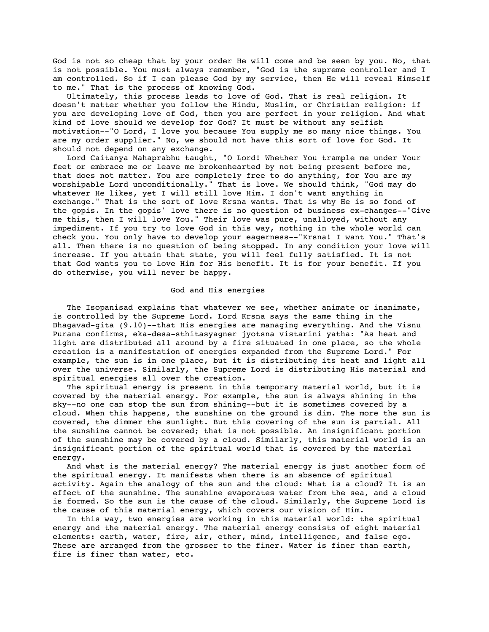God is not so cheap that by your order He will come and be seen by you. No, that is not possible. You must always remember, "God is the supreme controller and I am controlled. So if I can please God by my service, then He will reveal Himself to me." That is the process of knowing God.

 Ultimately, this process leads to love of God. That is real religion. It doesn't matter whether you follow the Hindu, Muslim, or Christian religion: if you are developing love of God, then you are perfect in your religion. And what kind of love should we develop for God? It must be without any selfish motivation--"O Lord, I love you because You supply me so many nice things. You are my order supplier." No, we should not have this sort of love for God. It should not depend on any exchange.

 Lord Caitanya Mahaprabhu taught, "O Lord! Whether You trample me under Your feet or embrace me or leave me brokenhearted by not being present before me, that does not matter. You are completely free to do anything, for You are my worshipable Lord unconditionally." That is love. We should think, "God may do whatever He likes, yet I will still love Him. I don't want anything in exchange." That is the sort of love Krsna wants. That is why He is so fond of the gopis. In the gopis' love there is no question of business ex-changes--"Give me this, then I will love You." Their love was pure, unalloyed, without any impediment. If you try to love God in this way, nothing in the whole world can check you. You only have to develop your eagerness--"Krsna! I want You." That's all. Then there is no question of being stopped. In any condition your love will increase. If you attain that state, you will feel fully satisfied. It is not that God wants you to love Him for His benefit. It is for your benefit. If you do otherwise, you will never be happy.

### God and His energies

The Isopanisad explains that whatever we see, whether animate or inanimate, is controlled by the Supreme Lord. Lord Krsna says the same thing in the Bhagavad-gita (9.10)--that His energies are managing everything. And the Visnu Purana confirms, eka-desa-sthitasyagner jyotsna vistarini yatha: "As heat and light are distributed all around by a fire situated in one place, so the whole creation is a manifestation of energies expanded from the Supreme Lord." For example, the sun is in one place, but it is distributing its heat and light all over the universe. Similarly, the Supreme Lord is distributing His material and spiritual energies all over the creation.

 The spiritual energy is present in this temporary material world, but it is covered by the material energy. For example, the sun is always shining in the sky--no one can stop the sun from shining--but it is sometimes covered by a cloud. When this happens, the sunshine on the ground is dim. The more the sun is covered, the dimmer the sunlight. But this covering of the sun is partial. All the sunshine cannot be covered; that is not possible. An insignificant portion of the sunshine may be covered by a cloud. Similarly, this material world is an insignificant portion of the spiritual world that is covered by the material energy.

 And what is the material energy? The material energy is just another form of the spiritual energy. It manifests when there is an absence of spiritual activity. Again the analogy of the sun and the cloud: What is a cloud? It is an effect of the sunshine. The sunshine evaporates water from the sea, and a cloud is formed. So the sun is the cause of the cloud. Similarly, the Supreme Lord is the cause of this material energy, which covers our vision of Him.

 In this way, two energies are working in this material world: the spiritual energy and the material energy. The material energy consists of eight material elements: earth, water, fire, air, ether, mind, intelligence, and false ego. These are arranged from the grosser to the finer. Water is finer than earth, fire is finer than water, etc.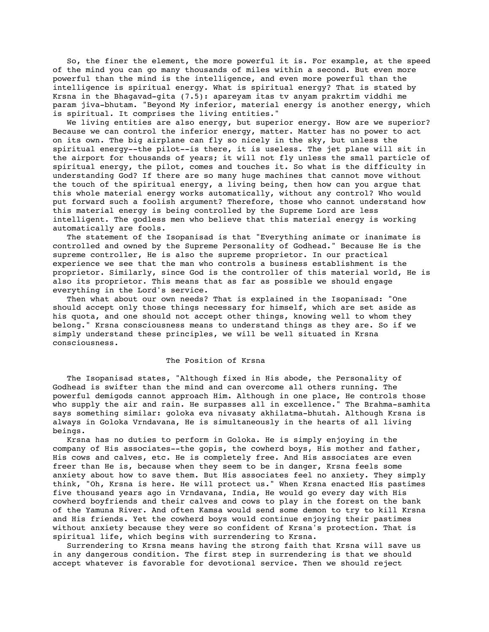So, the finer the element, the more powerful it is. For example, at the speed of the mind you can go many thousands of miles within a second. But even more powerful than the mind is the intelligence, and even more powerful than the intelligence is spiritual energy. What is spiritual energy? That is stated by Krsna in the Bhagavad-gita (7.5): apareyam itas tv anyam prakrtim viddhi me param jiva-bhutam. "Beyond My inferior, material energy is another energy, which is spiritual. It comprises the living entities."

 We living entities are also energy, but superior energy. How are we superior? Because we can control the inferior energy, matter. Matter has no power to act on its own. The big airplane can fly so nicely in the sky, but unless the spiritual energy--the pilot--is there, it is useless. The jet plane will sit in the airport for thousands of years; it will not fly unless the small particle of spiritual energy, the pilot, comes and touches it. So what is the difficulty in understanding God? If there are so many huge machines that cannot move without the touch of the spiritual energy, a living being, then how can you argue that this whole material energy works automatically, without any control? Who would put forward such a foolish argument? Therefore, those who cannot understand how this material energy is being controlled by the Supreme Lord are less intelligent. The godless men who believe that this material energy is working automatically are fools.

 The statement of the Isopanisad is that "Everything animate or inanimate is controlled and owned by the Supreme Personality of Godhead." Because He is the supreme controller, He is also the supreme proprietor. In our practical experience we see that the man who controls a business establishment is the proprietor. Similarly, since God is the controller of this material world, He is also its proprietor. This means that as far as possible we should engage everything in the Lord's service.

 Then what about our own needs? That is explained in the Isopanisad: "One should accept only those things necessary for himself, which are set aside as his quota, and one should not accept other things, knowing well to whom they belong." Krsna consciousness means to understand things as they are. So if we simply understand these principles, we will be well situated in Krsna consciousness.

### The Position of Krsna

 The Isopanisad states, "Although fixed in His abode, the Personality of Godhead is swifter than the mind and can overcome all others running. The powerful demigods cannot approach Him. Although in one place, He controls those who supply the air and rain. He surpasses all in excellence." The Brahma-samhita says something similar: goloka eva nivasaty akhilatma-bhutah. Although Krsna is always in Goloka Vrndavana, He is simultaneously in the hearts of all living beings.

 Krsna has no duties to perform in Goloka. He is simply enjoying in the company of His associates--the gopis, the cowherd boys, His mother and father, His cows and calves, etc. He is completely free. And His associates are even freer than He is, because when they seem to be in danger, Krsna feels some anxiety about how to save them. But His associates feel no anxiety. They simply think, "Oh, Krsna is here. He will protect us." When Krsna enacted His pastimes five thousand years ago in Vrndavana, India, He would go every day with His cowherd boyfriends and their calves and cows to play in the forest on the bank of the Yamuna River. And often Kamsa would send some demon to try to kill Krsna and His friends. Yet the cowherd boys would continue enjoying their pastimes without anxiety because they were so confident of Krsna's protection. That is spiritual life, which begins with surrendering to Krsna.

 Surrendering to Krsna means having the strong faith that Krsna will save us in any dangerous condition. The first step in surrendering is that we should accept whatever is favorable for devotional service. Then we should reject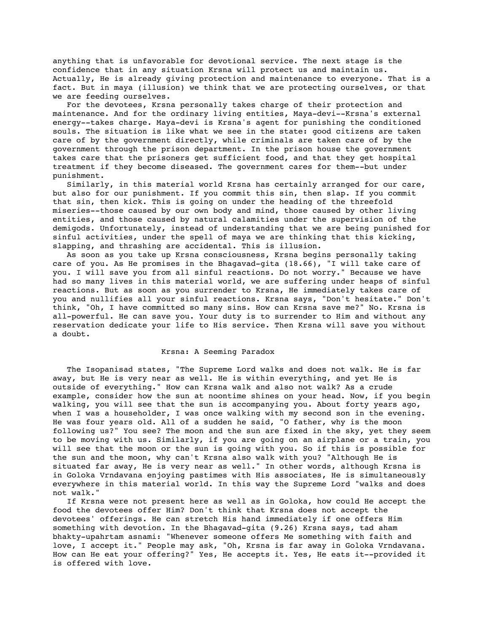anything that is unfavorable for devotional service. The next stage is the confidence that in any situation Krsna will protect us and maintain us. Actually, He is already giving protection and maintenance to everyone. That is a fact. But in maya (illusion) we think that we are protecting ourselves, or that we are feeding ourselves.

 For the devotees, Krsna personally takes charge of their protection and maintenance. And for the ordinary living entities, Maya-devi--Krsna's external energy--takes charge. Maya-devi is Krsna's agent for punishing the conditioned souls. The situation is like what we see in the state: good citizens are taken care of by the government directly, while criminals are taken care of by the government through the prison department. In the prison house the government takes care that the prisoners get sufficient food, and that they get hospital treatment if they become diseased. The government cares for them--but under punishment.

 Similarly, in this material world Krsna has certainly arranged for our care, but also for our punishment. If you commit this sin, then slap. If you commit that sin, then kick. This is going on under the heading of the threefold miseries--those caused by our own body and mind, those caused by other living entities, and those caused by natural calamities under the supervision of the demigods. Unfortunately, instead of understanding that we are being punished for sinful activities, under the spell of maya we are thinking that this kicking, slapping, and thrashing are accidental. This is illusion.

 As soon as you take up Krsna consciousness, Krsna begins personally taking care of you. As He promises in the Bhagavad-gita (18.66), "I will take care of you. I will save you from all sinful reactions. Do not worry." Because we have had so many lives in this material world, we are suffering under heaps of sinful reactions. But as soon as you surrender to Krsna, He immediately takes care of you and nullifies all your sinful reactions. Krsna says, "Don't hesitate." Don't think, "Oh, I have committed so many sins. How can Krsna save me?" No. Krsna is all-powerful. He can save you. Your duty is to surrender to Him and without any reservation dedicate your life to His service. Then Krsna will save you without a doubt.

#### Krsna: A Seeming Paradox

 The Isopanisad states, "The Supreme Lord walks and does not walk. He is far away, but He is very near as well. He is within everything, and yet He is outside of everything." How can Krsna walk and also not walk? As a crude example, consider how the sun at noontime shines on your head. Now, if you begin walking, you will see that the sun is accompanying you. About forty years ago, when I was a householder, I was once walking with my second son in the evening. He was four years old. All of a sudden he said, "O father, why is the moon following us?" You see? The moon and the sun are fixed in the sky, yet they seem to be moving with us. Similarly, if you are going on an airplane or a train, you will see that the moon or the sun is going with you. So if this is possible for the sun and the moon, why can't Krsna also walk with you? "Although He is situated far away, He is very near as well." In other words, although Krsna is in Goloka Vrndavana enjoying pastimes with His associates, He is simultaneously everywhere in this material world. In this way the Supreme Lord "walks and does not walk."

 If Krsna were not present here as well as in Goloka, how could He accept the food the devotees offer Him? Don't think that Krsna does not accept the devotees' offerings. He can stretch His hand immediately if one offers Him something with devotion. In the Bhagavad-gita (9.26) Krsna says, tad aham bhakty-upahrtam asnami: "Whenever someone offers Me something with faith and love, I accept it." People may ask, "Oh, Krsna is far away in Goloka Vrndavana. How can He eat your offering?" Yes, He accepts it. Yes, He eats it--provided it is offered with love.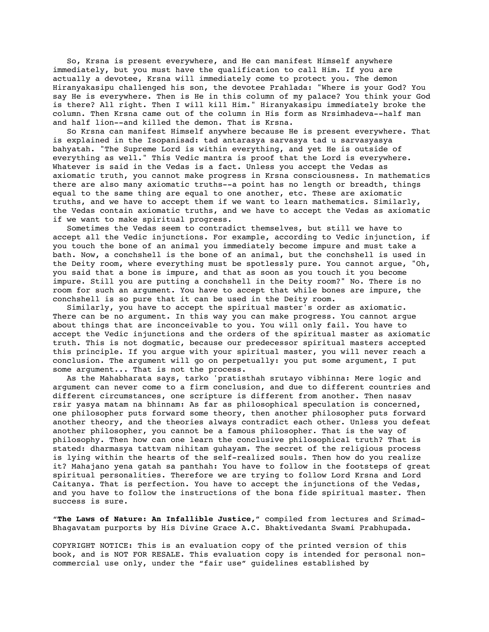So, Krsna is present everywhere, and He can manifest Himself anywhere immediately, but you must have the qualification to call Him. If you are actually a devotee, Krsna will immediately come to protect you. The demon Hiranyakasipu challenged his son, the devotee Prahlada: "Where is your God? You say He is everywhere. Then is He in this column of my palace? You think your God is there? All right. Then I will kill Him." Hiranyakasipu immediately broke the column. Then Krsna came out of the column in His form as Nrsimhadeva--half man and half lion--and killed the demon. That is Krsna.

 So Krsna can manifest Himself anywhere because He is present everywhere. That is explained in the Isopanisad: tad antarasya sarvasya tad u sarvasyasya bahyatah. "The Supreme Lord is within everything, and yet He is outside of everything as well." This Vedic mantra is proof that the Lord is everywhere. Whatever is said in the Vedas is a fact. Unless you accept the Vedas as axiomatic truth, you cannot make progress in Krsna consciousness. In mathematics there are also many axiomatic truths--a point has no length or breadth, things equal to the same thing are equal to one another, etc. These are axiomatic truths, and we have to accept them if we want to learn mathematics. Similarly, the Vedas contain axiomatic truths, and we have to accept the Vedas as axiomatic if we want to make spiritual progress.

 Sometimes the Vedas seem to contradict themselves, but still we have to accept all the Vedic injunctions. For example, according to Vedic injunction, if you touch the bone of an animal you immediately become impure and must take a bath. Now, a conchshell is the bone of an animal, but the conchshell is used in the Deity room, where everything must be spotlessly pure. You cannot argue, "Oh, you said that a bone is impure, and that as soon as you touch it you become impure. Still you are putting a conchshell in the Deity room?" No. There is no room for such an argument. You have to accept that while bones are impure, the conchshell is so pure that it can be used in the Deity room.

 Similarly, you have to accept the spiritual master's order as axiomatic. There can be no argument. In this way you can make progress. You cannot argue about things that are inconceivable to you. You will only fail. You have to accept the Vedic injunctions and the orders of the spiritual master as axiomatic truth. This is not dogmatic, because our predecessor spiritual masters accepted this principle. If you argue with your spiritual master, you will never reach a conclusion. The argument will go on perpetually: you put some argument, I put some argument... That is not the process.

 As the Mahabharata says, tarko 'pratisthah srutayo vibhinna: Mere logic and argument can never come to a firm conclusion, and due to different countries and different circumstances, one scripture is different from another. Then nasav rsir yasya matam na bhinnam: As far as philosophical speculation is concerned, one philosopher puts forward some theory, then another philosopher puts forward another theory, and the theories always contradict each other. Unless you defeat another philosopher, you cannot be a famous philosopher. That is the way of philosophy. Then how can one learn the conclusive philosophical truth? That is stated: dharmasya tattvam nihitam guhayam. The secret of the religious process is lying within the hearts of the self-realized souls. Then how do you realize it? Mahajano yena gatah sa panthah: You have to follow in the footsteps of great spiritual personalities. Therefore we are trying to follow Lord Krsna and Lord Caitanya. That is perfection. You have to accept the injunctions of the Vedas, and you have to follow the instructions of the bona fide spiritual master. Then success is sure.

"**The Laws of Nature: An Infallible Justice,**" compiled from lectures and Srimad-Bhagavatam purports by His Divine Grace A.C. Bhaktivedanta Swami Prabhupada.

COPYRIGHT NOTICE: This is an evaluation copy of the printed version of this book, and is NOT FOR RESALE. This evaluation copy is intended for personal noncommercial use only, under the "fair use" guidelines established by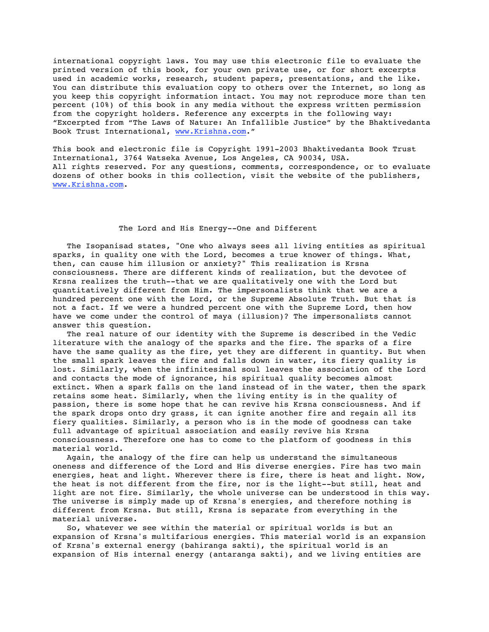international copyright laws. You may use this electronic file to evaluate the printed version of this book, for your own private use, or for short excerpts used in academic works, research, student papers, presentations, and the like. You can distribute this evaluation copy to others over the Internet, so long as you keep this copyright information intact. You may not reproduce more than ten percent (10%) of this book in any media without the express written permission from the copyright holders. Reference any excerpts in the following way: "Excerpted from "The Laws of Nature: An Infallible Justice" by the Bhaktivedanta Book Trust International, www.Krishna.com."

This book and electronic file is Copyright 1991-2003 Bhaktivedanta Book Trust International, 3764 Watseka Avenue, Los Angeles, CA 90034, USA. All rights reserved. For any questions, comments, correspondence, or to evaluate dozens of other books in this collection, visit the website of the publishers, www.Krishna.com.

### The Lord and His Energy--One and Different

 The Isopanisad states, "One who always sees all living entities as spiritual sparks, in quality one with the Lord, becomes a true knower of things. What, then, can cause him illusion or anxiety?" This realization is Krsna consciousness. There are different kinds of realization, but the devotee of Krsna realizes the truth--that we are qualitatively one with the Lord but quantitatively different from Him. The impersonalists think that we are a hundred percent one with the Lord, or the Supreme Absolute Truth. But that is not a fact. If we were a hundred percent one with the Supreme Lord, then how have we come under the control of maya (illusion)? The impersonalists cannot answer this question.

 The real nature of our identity with the Supreme is described in the Vedic literature with the analogy of the sparks and the fire. The sparks of a fire have the same quality as the fire, yet they are different in quantity. But when the small spark leaves the fire and falls down in water, its fiery quality is lost. Similarly, when the infinitesimal soul leaves the association of the Lord and contacts the mode of ignorance, his spiritual quality becomes almost extinct. When a spark falls on the land instead of in the water, then the spark retains some heat. Similarly, when the living entity is in the quality of passion, there is some hope that he can revive his Krsna consciousness. And if the spark drops onto dry grass, it can ignite another fire and regain all its fiery qualities. Similarly, a person who is in the mode of goodness can take full advantage of spiritual association and easily revive his Krsna consciousness. Therefore one has to come to the platform of goodness in this material world.

 Again, the analogy of the fire can help us understand the simultaneous oneness and difference of the Lord and His diverse energies. Fire has two main energies, heat and light. Wherever there is fire, there is heat and light. Now, the heat is not different from the fire, nor is the light--but still, heat and light are not fire. Similarly, the whole universe can be understood in this way. The universe is simply made up of Krsna's energies, and therefore nothing is different from Krsna. But still, Krsna is separate from everything in the material universe.

 So, whatever we see within the material or spiritual worlds is but an expansion of Krsna's multifarious energies. This material world is an expansion of Krsna's external energy (bahiranga sakti), the spiritual world is an expansion of His internal energy (antaranga sakti), and we living entities are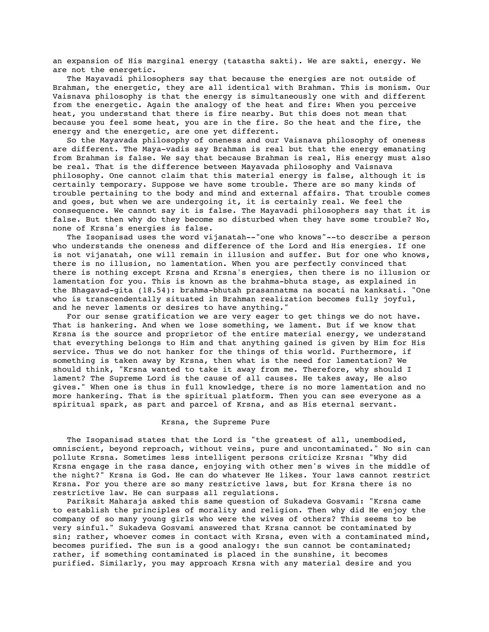an expansion of His marginal energy (tatastha sakti). We are sakti, energy. We are not the energetic.

 The Mayavadi philosophers say that because the energies are not outside of Brahman, the energetic, they are all identical with Brahman. This is monism. Our Vaisnava philosophy is that the energy is simultaneously one with and different from the energetic. Again the analogy of the heat and fire: When you perceive heat, you understand that there is fire nearby. But this does not mean that because you feel some heat, you are in the fire. So the heat and the fire, the energy and the energetic, are one yet different.

 So the Mayavada philosophy of oneness and our Vaisnava philosophy of oneness are different. The Maya-vadis say Brahman is real but that the energy emanating from Brahman is false. We say that because Brahman is real, His energy must also be real. That is the difference between Mayavada philosophy and Vaisnava philosophy. One cannot claim that this material energy is false, although it is certainly temporary. Suppose we have some trouble. There are so many kinds of trouble pertaining to the body and mind and external affairs. That trouble comes and goes, but when we are undergoing it, it is certainly real. We feel the consequence. We cannot say it is false. The Mayavadi philosophers say that it is false. But then why do they become so disturbed when they have some trouble? No, none of Krsna's energies is false.

 The Isopanisad uses the word vijanatah--"one who knows"--to describe a person who understands the oneness and difference of the Lord and His energies. If one is not vijanatah, one will remain in illusion and suffer. But for one who knows, there is no illusion, no lamentation. When you are perfectly convinced that there is nothing except Krsna and Krsna's energies, then there is no illusion or lamentation for you. This is known as the brahma-bhuta stage, as explained in the Bhagavad-gita (18.54): brahma-bhutah prasannatma na socati na kanksati. "One who is transcendentally situated in Brahman realization becomes fully joyful, and he never laments or desires to have anything."

 For our sense gratification we are very eager to get things we do not have. That is hankering. And when we lose something, we lament. But if we know that Krsna is the source and proprietor of the entire material energy, we understand that everything belongs to Him and that anything gained is given by Him for His service. Thus we do not hanker for the things of this world. Furthermore, if something is taken away by Krsna, then what is the need for lamentation? We should think, "Krsna wanted to take it away from me. Therefore, why should I lament? The Supreme Lord is the cause of all causes. He takes away, He also gives." When one is thus in full knowledge, there is no more lamentation and no more hankering. That is the spiritual platform. Then you can see everyone as a spiritual spark, as part and parcel of Krsna, and as His eternal servant.

## Krsna, the Supreme Pure

 The Isopanisad states that the Lord is "the greatest of all, unembodied, omniscient, beyond reproach, without veins, pure and uncontaminated." No sin can pollute Krsna. Sometimes less intelligent persons criticize Krsna: "Why did Krsna engage in the rasa dance, enjoying with other men's wives in the middle of the night?" Krsna is God. He can do whatever He likes. Your laws cannot restrict Krsna. For you there are so many restrictive laws, but for Krsna there is no restrictive law. He can surpass all regulations.

 Pariksit Maharaja asked this same question of Sukadeva Gosvami: "Krsna came to establish the principles of morality and religion. Then why did He enjoy the company of so many young girls who were the wives of others? This seems to be very sinful." Sukadeva Gosvami answered that Krsna cannot be contaminated by sin; rather, whoever comes in contact with Krsna, even with a contaminated mind, becomes purified. The sun is a good analogy: the sun cannot be contaminated; rather, if something contaminated is placed in the sunshine, it becomes purified. Similarly, you may approach Krsna with any material desire and you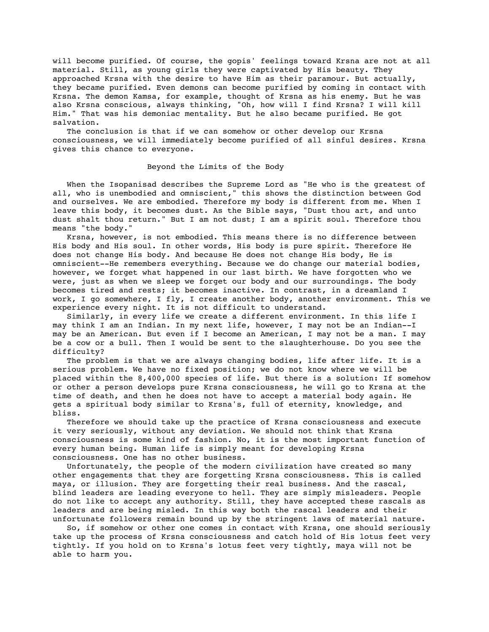will become purified. Of course, the gopis' feelings toward Krsna are not at all material. Still, as young girls they were captivated by His beauty. They approached Krsna with the desire to have Him as their paramour. But actually, they became purified. Even demons can become purified by coming in contact with Krsna. The demon Kamsa, for example, thought of Krsna as his enemy. But he was also Krsna conscious, always thinking, "Oh, how will I find Krsna? I will kill Him." That was his demoniac mentality. But he also became purified. He got salvation.

 The conclusion is that if we can somehow or other develop our Krsna consciousness, we will immediately become purified of all sinful desires. Krsna gives this chance to everyone.

## Beyond the Limits of the Body

 When the Isopanisad describes the Supreme Lord as "He who is the greatest of all, who is unembodied and omniscient," this shows the distinction between God and ourselves. We are embodied. Therefore my body is different from me. When I leave this body, it becomes dust. As the Bible says, "Dust thou art, and unto dust shalt thou return." But I am not dust; I am a spirit soul. Therefore thou means "the body."

 Krsna, however, is not embodied. This means there is no difference between His body and His soul. In other words, His body is pure spirit. Therefore He does not change His body. And because He does not change His body, He is omniscient--He remembers everything. Because we do change our material bodies, however, we forget what happened in our last birth. We have forgotten who we were, just as when we sleep we forget our body and our surroundings. The body becomes tired and rests; it becomes inactive. In contrast, in a dreamland I work, I go somewhere, I fly, I create another body, another environment. This we experience every night. It is not difficult to understand.

 Similarly, in every life we create a different environment. In this life I may think I am an Indian. In my next life, however, I may not be an Indian--I may be an American. But even if I become an American, I may not be a man. I may be a cow or a bull. Then I would be sent to the slaughterhouse. Do you see the difficulty?

 The problem is that we are always changing bodies, life after life. It is a serious problem. We have no fixed position; we do not know where we will be placed within the 8,400,000 species of life. But there is a solution: If somehow or other a person develops pure Krsna consciousness, he will go to Krsna at the time of death, and then he does not have to accept a material body again. He gets a spiritual body similar to Krsna's, full of eternity, knowledge, and bliss.

 Therefore we should take up the practice of Krsna consciousness and execute it very seriously, without any deviation. We should not think that Krsna consciousness is some kind of fashion. No, it is the most important function of every human being. Human life is simply meant for developing Krsna consciousness. One has no other business.

 Unfortunately, the people of the modern civilization have created so many other engagements that they are forgetting Krsna consciousness. This is called maya, or illusion. They are forgetting their real business. And the rascal, blind leaders are leading everyone to hell. They are simply misleaders. People do not like to accept any authority. Still, they have accepted these rascals as leaders and are being misled. In this way both the rascal leaders and their unfortunate followers remain bound up by the stringent laws of material nature.

 So, if somehow or other one comes in contact with Krsna, one should seriously take up the process of Krsna consciousness and catch hold of His lotus feet very tightly. If you hold on to Krsna's lotus feet very tightly, maya will not be able to harm you.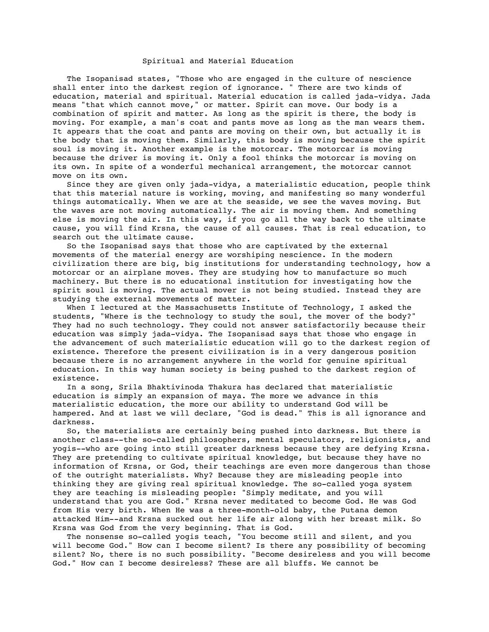#### Spiritual and Material Education

 The Isopanisad states, "Those who are engaged in the culture of nescience shall enter into the darkest region of ignorance. " There are two kinds of education, material and spiritual. Material education is called jada-vidya. Jada means "that which cannot move," or matter. Spirit can move. Our body is a combination of spirit and matter. As long as the spirit is there, the body is moving. For example, a man's coat and pants move as long as the man wears them. It appears that the coat and pants are moving on their own, but actually it is the body that is moving them. Similarly, this body is moving because the spirit soul is moving it. Another example is the motorcar. The motorcar is moving because the driver is moving it. Only a fool thinks the motorcar is moving on its own. In spite of a wonderful mechanical arrangement, the motorcar cannot move on its own.

 Since they are given only jada-vidya, a materialistic education, people think that this material nature is working, moving, and manifesting so many wonderful things automatically. When we are at the seaside, we see the waves moving. But the waves are not moving automatically. The air is moving them. And something else is moving the air. In this way, if you go all the way back to the ultimate cause, you will find Krsna, the cause of all causes. That is real education, to search out the ultimate cause.

 So the Isopanisad says that those who are captivated by the external movements of the material energy are worshiping nescience. In the modern civilization there are big, big institutions for understanding technology, how a motorcar or an airplane moves. They are studying how to manufacture so much machinery. But there is no educational institution for investigating how the spirit soul is moving. The actual mover is not being studied. Instead they are studying the external movements of matter.

 When I lectured at the Massachusetts Institute of Technology, I asked the students, "Where is the technology to study the soul, the mover of the body?" They had no such technology. They could not answer satisfactorily because their education was simply jada-vidya. The Isopanisad says that those who engage in the advancement of such materialistic education will go to the darkest region of existence. Therefore the present civilization is in a very dangerous position because there is no arrangement anywhere in the world for genuine spiritual education. In this way human society is being pushed to the darkest region of existence.

 In a song, Srila Bhaktivinoda Thakura has declared that materialistic education is simply an expansion of maya. The more we advance in this materialistic education, the more our ability to understand God will be hampered. And at last we will declare, "God is dead." This is all ignorance and darkness.

 So, the materialists are certainly being pushed into darkness. But there is another class--the so-called philosophers, mental speculators, religionists, and yogis--who are going into still greater darkness because they are defying Krsna. They are pretending to cultivate spiritual knowledge, but because they have no information of Krsna, or God, their teachings are even more dangerous than those of the outright materialists. Why? Because they are misleading people into thinking they are giving real spiritual knowledge. The so-called yoga system they are teaching is misleading people: "Simply meditate, and you will understand that you are God." Krsna never meditated to become God. He was God from His very birth. When He was a three-month-old baby, the Putana demon attacked Him--and Krsna sucked out her life air along with her breast milk. So Krsna was God from the very beginning. That is God.

 The nonsense so-called yogis teach, "You become still and silent, and you will become God." How can I become silent? Is there any possibility of becoming silent? No, there is no such possibility. "Become desireless and you will become God." How can I become desireless? These are all bluffs. We cannot be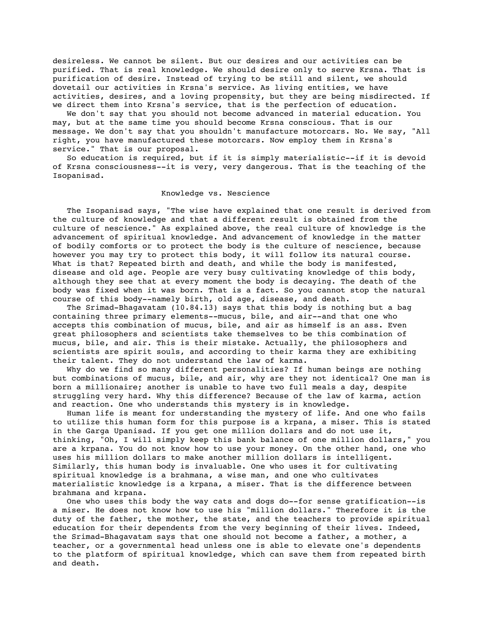desireless. We cannot be silent. But our desires and our activities can be purified. That is real knowledge. We should desire only to serve Krsna. That is purification of desire. Instead of trying to be still and silent, we should dovetail our activities in Krsna's service. As living entities, we have activities, desires, and a loving propensity, but they are being misdirected. If we direct them into Krsna's service, that is the perfection of education.

 We don't say that you should not become advanced in material education. You may, but at the same time you should become Krsna conscious. That is our message. We don't say that you shouldn't manufacture motorcars. No. We say, "All right, you have manufactured these motorcars. Now employ them in Krsna's service." That is our proposal.

 So education is required, but if it is simply materialistic--if it is devoid of Krsna consciousness--it is very, very dangerous. That is the teaching of the Isopanisad.

### Knowledge vs. Nescience

 The Isopanisad says, "The wise have explained that one result is derived from the culture of knowledge and that a different result is obtained from the culture of nescience." As explained above, the real culture of knowledge is the advancement of spiritual knowledge. And advancement of knowledge in the matter of bodily comforts or to protect the body is the culture of nescience, because however you may try to protect this body, it will follow its natural course. What is that? Repeated birth and death, and while the body is manifested, disease and old age. People are very busy cultivating knowledge of this body, although they see that at every moment the body is decaying. The death of the body was fixed when it was born. That is a fact. So you cannot stop the natural course of this body--namely birth, old age, disease, and death.

 The Srimad-Bhagavatam (10.84.13) says that this body is nothing but a bag containing three primary elements--mucus, bile, and air--and that one who accepts this combination of mucus, bile, and air as himself is an ass. Even great philosophers and scientists take themselves to be this combination of mucus, bile, and air. This is their mistake. Actually, the philosophers and scientists are spirit souls, and according to their karma they are exhibiting their talent. They do not understand the law of karma.

 Why do we find so many different personalities? If human beings are nothing but combinations of mucus, bile, and air, why are they not identical? One man is born a millionaire; another is unable to have two full meals a day, despite struggling very hard. Why this difference? Because of the law of karma, action and reaction. One who understands this mystery is in knowledge.

 Human life is meant for understanding the mystery of life. And one who fails to utilize this human form for this purpose is a krpana, a miser. This is stated in the Garga Upanisad. If you get one million dollars and do not use it, thinking, "Oh, I will simply keep this bank balance of one million dollars," you are a krpana. You do not know how to use your money. On the other hand, one who uses his million dollars to make another million dollars is intelligent. Similarly, this human body is invaluable. One who uses it for cultivating spiritual knowledge is a brahmana, a wise man, and one who cultivates materialistic knowledge is a krpana, a miser. That is the difference between brahmana and krpana.

 One who uses this body the way cats and dogs do--for sense gratification--is a miser. He does not know how to use his "million dollars." Therefore it is the duty of the father, the mother, the state, and the teachers to provide spiritual education for their dependents from the very beginning of their lives. Indeed, the Srimad-Bhagavatam says that one should not become a father, a mother, a teacher, or a governmental head unless one is able to elevate one's dependents to the platform of spiritual knowledge, which can save them from repeated birth and death.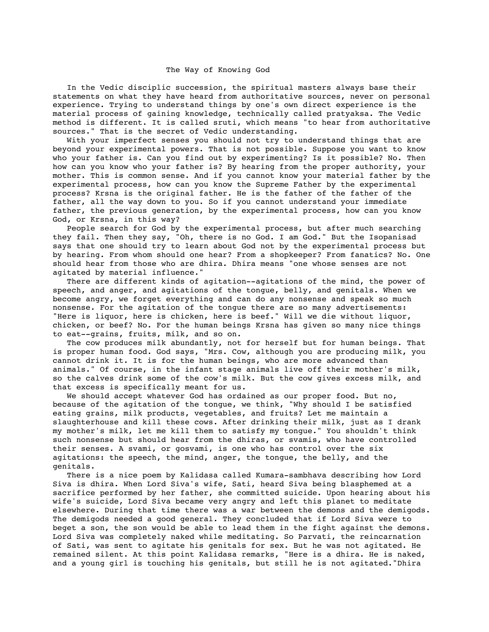#### The Way of Knowing God

 In the Vedic disciplic succession, the spiritual masters always base their statements on what they have heard from authoritative sources, never on personal experience. Trying to understand things by one's own direct experience is the material process of gaining knowledge, technically called pratyaksa. The Vedic method is different. It is called sruti, which means "to hear from authoritative sources." That is the secret of Vedic understanding.

 With your imperfect senses you should not try to understand things that are beyond your experimental powers. That is not possible. Suppose you want to know who your father is. Can you find out by experimenting? Is it possible? No. Then how can you know who your father is? By hearing from the proper authority, your mother. This is common sense. And if you cannot know your material father by the experimental process, how can you know the Supreme Father by the experimental process? Krsna is the original father. He is the father of the father of the father, all the way down to you. So if you cannot understand your immediate father, the previous generation, by the experimental process, how can you know God, or Krsna, in this way?

 People search for God by the experimental process, but after much searching they fail. Then they say, "Oh, there is no God. I am God." But the Isopanisad says that one should try to learn about God not by the experimental process but by hearing. From whom should one hear? From a shopkeeper? From fanatics? No. One should hear from those who are dhira. Dhira means "one whose senses are not agitated by material influence."

 There are different kinds of agitation--agitations of the mind, the power of speech, and anger, and agitations of the tongue, belly, and genitals. When we become angry, we forget everything and can do any nonsense and speak so much nonsense. For the agitation of the tongue there are so many advertisements: "Here is liquor, here is chicken, here is beef." Will we die without liquor, chicken, or beef? No. For the human beings Krsna has given so many nice things to eat--grains, fruits, milk, and so on.

 The cow produces milk abundantly, not for herself but for human beings. That is proper human food. God says, "Mrs. Cow, although you are producing milk, you cannot drink it. It is for the human beings, who are more advanced than animals." Of course, in the infant stage animals live off their mother's milk, so the calves drink some of the cow's milk. But the cow gives excess milk, and that excess is specifically meant for us.

 We should accept whatever God has ordained as our proper food. But no, because of the agitation of the tongue, we think, "Why should I be satisfied eating grains, milk products, vegetables, and fruits? Let me maintain a slaughterhouse and kill these cows. After drinking their milk, just as I drank my mother's milk, let me kill them to satisfy my tongue." You shouldn't think such nonsense but should hear from the dhiras, or svamis, who have controlled their senses. A svami, or gosvami, is one who has control over the six agitations: the speech, the mind, anger, the tongue, the belly, and the genitals.

 There is a nice poem by Kalidasa called Kumara-sambhava describing how Lord Siva is dhira. When Lord Siva's wife, Sati, heard Siva being blasphemed at a sacrifice performed by her father, she committed suicide. Upon hearing about his wife's suicide, Lord Siva became very angry and left this planet to meditate elsewhere. During that time there was a war between the demons and the demigods. The demigods needed a good general. They concluded that if Lord Siva were to beget a son, the son would be able to lead them in the fight against the demons. Lord Siva was completely naked while meditating. So Parvati, the reincarnation of Sati, was sent to agitate his genitals for sex. But he was not agitated. He remained silent. At this point Kalidasa remarks, "Here is a dhira. He is naked, and a young girl is touching his genitals, but still he is not agitated."Dhira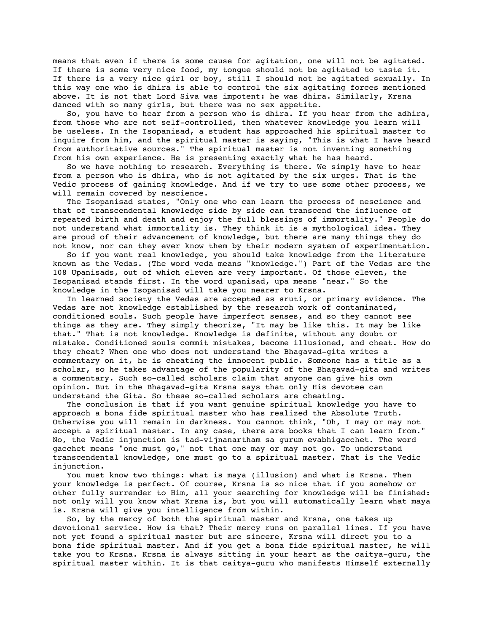means that even if there is some cause for agitation, one will not be agitated. If there is some very nice food, my tongue should not be agitated to taste it. If there is a very nice girl or boy, still I should not be agitated sexually. In this way one who is dhira is able to control the six agitating forces mentioned above. It is not that Lord Siva was impotent: he was dhira. Similarly, Krsna danced with so many girls, but there was no sex appetite.

 So, you have to hear from a person who is dhira. If you hear from the adhira, from those who are not self-controlled, then whatever knowledge you learn will be useless. In the Isopanisad, a student has approached his spiritual master to inquire from him, and the spiritual master is saying, "This is what I have heard from authoritative sources." The spiritual master is not inventing something from his own experience. He is presenting exactly what he has heard.

 So we have nothing to research. Everything is there. We simply have to hear from a person who is dhira, who is not agitated by the six urges. That is the Vedic process of gaining knowledge. And if we try to use some other process, we will remain covered by nescience.

 The Isopanisad states, "Only one who can learn the process of nescience and that of transcendental knowledge side by side can transcend the influence of repeated birth and death and enjoy the full blessings of immortality." People do not understand what immortality is. They think it is a mythological idea. They are proud of their advancement of knowledge, but there are many things they do not know, nor can they ever know them by their modern system of experimentation.

 So if you want real knowledge, you should take knowledge from the literature known as the Vedas. (The word veda means "knowledge.") Part of the Vedas are the 108 Upanisads, out of which eleven are very important. Of those eleven, the Isopanisad stands first. In the word upanisad, upa means "near." So the knowledge in the Isopanisad will take you nearer to Krsna.

 In learned society the Vedas are accepted as sruti, or primary evidence. The Vedas are not knowledge established by the research work of contaminated, conditioned souls. Such people have imperfect senses, and so they cannot see things as they are. They simply theorize, "It may be like this. It may be like that." That is not knowledge. Knowledge is definite, without any doubt or mistake. Conditioned souls commit mistakes, become illusioned, and cheat. How do they cheat? When one who does not understand the Bhagavad-gita writes a commentary on it, he is cheating the innocent public. Someone has a title as a scholar, so he takes advantage of the popularity of the Bhagavad-gita and writes a commentary. Such so-called scholars claim that anyone can give his own opinion. But in the Bhagavad-gita Krsna says that only His devotee can understand the Gita. So these so-called scholars are cheating.

 The conclusion is that if you want genuine spiritual knowledge you have to approach a bona fide spiritual master who has realized the Absolute Truth. Otherwise you will remain in darkness. You cannot think, "Oh, I may or may not accept a spiritual master. In any case, there are books that I can learn from." No, the Vedic injunction is tad-vijnanartham sa gurum evabhigacchet. The word gacchet means "one must go," not that one may or may not go. To understand transcendental knowledge, one must go to a spiritual master. That is the Vedic injunction.

 You must know two things: what is maya (illusion) and what is Krsna. Then your knowledge is perfect. Of course, Krsna is so nice that if you somehow or other fully surrender to Him, all your searching for knowledge will be finished: not only will you know what Krsna is, but you will automatically learn what maya is. Krsna will give you intelligence from within.

 So, by the mercy of both the spiritual master and Krsna, one takes up devotional service. How is that? Their mercy runs on parallel lines. If you have not yet found a spiritual master but are sincere, Krsna will direct you to a bona fide spiritual master. And if you get a bona fide spiritual master, he will take you to Krsna. Krsna is always sitting in your heart as the caitya-guru, the spiritual master within. It is that caitya-guru who manifests Himself externally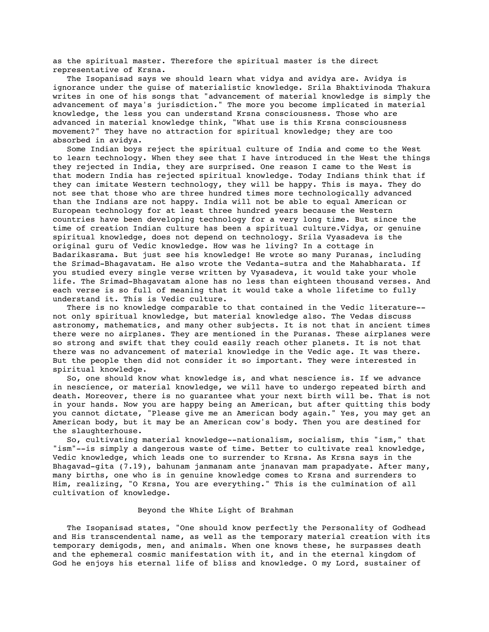as the spiritual master. Therefore the spiritual master is the direct representative of Krsna.

 The Isopanisad says we should learn what vidya and avidya are. Avidya is ignorance under the guise of materialistic knowledge. Srila Bhaktivinoda Thakura writes in one of his songs that "advancement of material knowledge is simply the advancement of maya's jurisdiction." The more you become implicated in material knowledge, the less you can understand Krsna consciousness. Those who are advanced in material knowledge think, "What use is this Krsna consciousness movement?" They have no attraction for spiritual knowledge; they are too absorbed in avidya.

 Some Indian boys reject the spiritual culture of India and come to the West to learn technology. When they see that I have introduced in the West the things they rejected in India, they are surprised. One reason I came to the West is that modern India has rejected spiritual knowledge. Today Indians think that if they can imitate Western technology, they will be happy. This is maya. They do not see that those who are three hundred times more technologically advanced than the Indians are not happy. India will not be able to equal American or European technology for at least three hundred years because the Western countries have been developing technology for a very long time. But since the time of creation Indian culture has been a spiritual culture.Vidya, or genuine spiritual knowledge, does not depend on technology. Srila Vyasadeva is the original guru of Vedic knowledge. How was he living? In a cottage in Badarikasrama. But just see his knowledge! He wrote so many Puranas, including the Srimad-Bhagavatam. He also wrote the Vedanta-sutra and the Mahabharata. If you studied every single verse written by Vyasadeva, it would take your whole life. The Srimad-Bhagavatam alone has no less than eighteen thousand verses. And each verse is so full of meaning that it would take a whole lifetime to fully understand it. This is Vedic culture.

 There is no knowledge comparable to that contained in the Vedic literature- not only spiritual knowledge, but material knowledge also. The Vedas discuss astronomy, mathematics, and many other subjects. It is not that in ancient times there were no airplanes. They are mentioned in the Puranas. These airplanes were so strong and swift that they could easily reach other planets. It is not that there was no advancement of material knowledge in the Vedic age. It was there. But the people then did not consider it so important. They were interested in spiritual knowledge.

 So, one should know what knowledge is, and what nescience is. If we advance in nescience, or material knowledge, we will have to undergo repeated birth and death. Moreover, there is no guarantee what your next birth will be. That is not in your hands. Now you are happy being an American, but after quitting this body you cannot dictate, "Please give me an American body again." Yes, you may get an American body, but it may be an American cow's body. Then you are destined for the slaughterhouse.

 So, cultivating material knowledge--nationalism, socialism, this "ism," that "ism"--is simply a dangerous waste of time. Better to cultivate real knowledge, Vedic knowledge, which leads one to surrender to Krsna. As Krsna says in the Bhagavad-gita (7.19), bahunam janmanam ante jnanavan mam prapadyate. After many, many births, one who is in genuine knowledge comes to Krsna and surrenders to Him, realizing, "O Krsna, You are everything." This is the culmination of all cultivation of knowledge.

#### Beyond the White Light of Brahman

 The Isopanisad states, "One should know perfectly the Personality of Godhead and His transcendental name, as well as the temporary material creation with its temporary demigods, men, and animals. When one knows these, he surpasses death and the ephemeral cosmic manifestation with it, and in the eternal kingdom of God he enjoys his eternal life of bliss and knowledge. O my Lord, sustainer of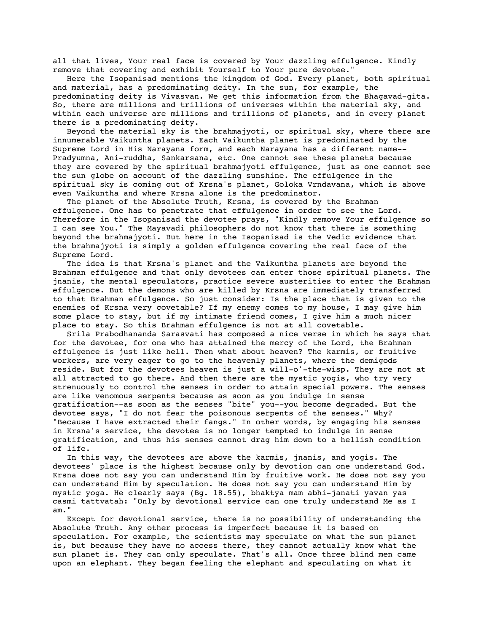all that lives, Your real face is covered by Your dazzling effulgence. Kindly remove that covering and exhibit Yourself to Your pure devotee."

 Here the Isopanisad mentions the kingdom of God. Every planet, both spiritual and material, has a predominating deity. In the sun, for example, the predominating deity is Vivasvan. We get this information from the Bhagavad-gita. So, there are millions and trillions of universes within the material sky, and within each universe are millions and trillions of planets, and in every planet there is a predominating deity.

 Beyond the material sky is the brahmajyoti, or spiritual sky, where there are innumerable Vaikuntha planets. Each Vaikuntha planet is predominated by the Supreme Lord in His Narayana form, and each Narayana has a different name-- Pradyumna, Ani-ruddha, Sankarsana, etc. One cannot see these planets because they are covered by the spiritual brahmajyoti effulgence, just as one cannot see the sun globe on account of the dazzling sunshine. The effulgence in the spiritual sky is coming out of Krsna's planet, Goloka Vrndavana, which is above even Vaikuntha and where Krsna alone is the predominator.

 The planet of the Absolute Truth, Krsna, is covered by the Brahman effulgence. One has to penetrate that effulgence in order to see the Lord. Therefore in the Isopanisad the devotee prays, "Kindly remove Your effulgence so I can see You." The Mayavadi philosophers do not know that there is something beyond the brahmajyoti. But here in the Isopanisad is the Vedic evidence that the brahmajyoti is simply a golden effulgence covering the real face of the Supreme Lord.

 The idea is that Krsna's planet and the Vaikuntha planets are beyond the Brahman effulgence and that only devotees can enter those spiritual planets. The jnanis, the mental speculators, practice severe austerities to enter the Brahman effulgence. But the demons who are killed by Krsna are immediately transferred to that Brahman effulgence. So just consider: Is the place that is given to the enemies of Krsna very covetable? If my enemy comes to my house, I may give him some place to stay, but if my intimate friend comes, I give him a much nicer place to stay. So this Brahman effulgence is not at all covetable.

 Srila Prabodhananda Sarasvati has composed a nice verse in which he says that for the devotee, for one who has attained the mercy of the Lord, the Brahman effulgence is just like hell. Then what about heaven? The karmis, or fruitive workers, are very eager to go to the heavenly planets, where the demigods reside. But for the devotees heaven is just a will-o'-the-wisp. They are not at all attracted to go there. And then there are the mystic yogis, who try very strenuously to control the senses in order to attain special powers. The senses are like venomous serpents because as soon as you indulge in sense gratification--as soon as the senses "bite" you--you become degraded. But the devotee says, "I do not fear the poisonous serpents of the senses." Why? "Because I have extracted their fangs." In other words, by engaging his senses in Krsna's service, the devotee is no longer tempted to indulge in sense gratification, and thus his senses cannot drag him down to a hellish condition of life.

 In this way, the devotees are above the karmis, jnanis, and yogis. The devotees' place is the highest because only by devotion can one understand God. Krsna does not say you can understand Him by fruitive work. He does not say you can understand Him by speculation. He does not say you can understand Him by mystic yoga. He clearly says (Bg. 18.55), bhaktya mam abhi-janati yavan yas casmi tattvatah: "Only by devotional service can one truly understand Me as I am."

 Except for devotional service, there is no possibility of understanding the Absolute Truth. Any other process is imperfect because it is based on speculation. For example, the scientists may speculate on what the sun planet is, but because they have no access there, they cannot actually know what the sun planet is. They can only speculate. That's all. Once three blind men came upon an elephant. They began feeling the elephant and speculating on what it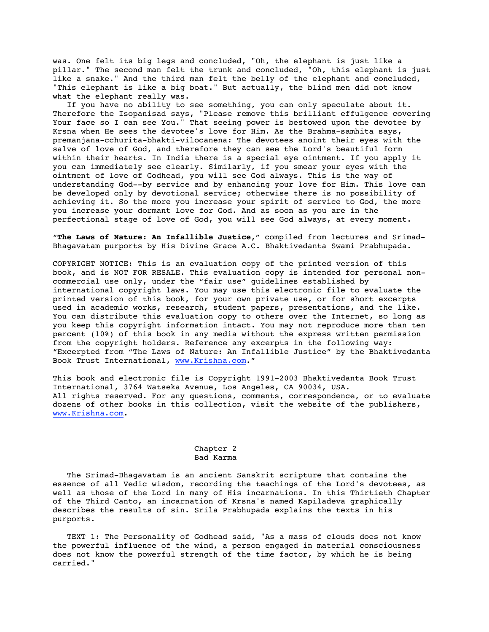was. One felt its big legs and concluded, "Oh, the elephant is just like a pillar." The second man felt the trunk and concluded, "Oh, this elephant is just like a snake." And the third man felt the belly of the elephant and concluded, "This elephant is like a big boat." But actually, the blind men did not know what the elephant really was.

 If you have no ability to see something, you can only speculate about it. Therefore the Isopanisad says, "Please remove this brilliant effulgence covering Your face so I can see You." That seeing power is bestowed upon the devotee by Krsna when He sees the devotee's love for Him. As the Brahma-samhita says, premanjana-cchurita-bhakti-vilocanena: The devotees anoint their eyes with the salve of love of God, and therefore they can see the Lord's beautiful form within their hearts. In India there is a special eye ointment. If you apply it you can immediately see clearly. Similarly, if you smear your eyes with the ointment of love of Godhead, you will see God always. This is the way of understanding God--by service and by enhancing your love for Him. This love can be developed only by devotional service; otherwise there is no possibility of achieving it. So the more you increase your spirit of service to God, the more you increase your dormant love for God. And as soon as you are in the perfectional stage of love of God, you will see God always, at every moment.

"**The Laws of Nature: An Infallible Justice,**" compiled from lectures and Srimad-Bhagavatam purports by His Divine Grace A.C. Bhaktivedanta Swami Prabhupada.

COPYRIGHT NOTICE: This is an evaluation copy of the printed version of this book, and is NOT FOR RESALE. This evaluation copy is intended for personal noncommercial use only, under the "fair use" guidelines established by international copyright laws. You may use this electronic file to evaluate the printed version of this book, for your own private use, or for short excerpts used in academic works, research, student papers, presentations, and the like. You can distribute this evaluation copy to others over the Internet, so long as you keep this copyright information intact. You may not reproduce more than ten percent (10%) of this book in any media without the express written permission from the copyright holders. Reference any excerpts in the following way: "Excerpted from "The Laws of Nature: An Infallible Justice" by the Bhaktivedanta Book Trust International, www.Krishna.com."

This book and electronic file is Copyright 1991-2003 Bhaktivedanta Book Trust International, 3764 Watseka Avenue, Los Angeles, CA 90034, USA. All rights reserved. For any questions, comments, correspondence, or to evaluate dozens of other books in this collection, visit the website of the publishers, www.Krishna.com.

## Chapter 2 Bad Karma

 The Srimad-Bhagavatam is an ancient Sanskrit scripture that contains the essence of all Vedic wisdom, recording the teachings of the Lord's devotees, as well as those of the Lord in many of His incarnations. In this Thirtieth Chapter of the Third Canto, an incarnation of Krsna's named Kapiladeva graphically describes the results of sin. Srila Prabhupada explains the texts in his purports.

 TEXT 1: The Personality of Godhead said, "As a mass of clouds does not know the powerful influence of the wind, a person engaged in material consciousness does not know the powerful strength of the time factor, by which he is being carried."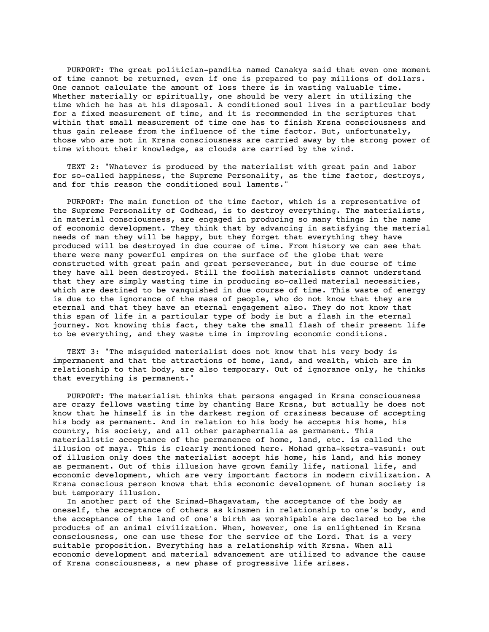PURPORT: The great politician-pandita named Canakya said that even one moment of time cannot be returned, even if one is prepared to pay millions of dollars. One cannot calculate the amount of loss there is in wasting valuable time. Whether materially or spiritually, one should be very alert in utilizing the time which he has at his disposal. A conditioned soul lives in a particular body for a fixed measurement of time, and it is recommended in the scriptures that within that small measurement of time one has to finish Krsna consciousness and thus gain release from the influence of the time factor. But, unfortunately, those who are not in Krsna consciousness are carried away by the strong power of time without their knowledge, as clouds are carried by the wind.

 TEXT 2: "Whatever is produced by the materialist with great pain and labor for so-called happiness, the Supreme Personality, as the time factor, destroys, and for this reason the conditioned soul laments."

 PURPORT: The main function of the time factor, which is a representative of the Supreme Personality of Godhead, is to destroy everything. The materialists, in material consciousness, are engaged in producing so many things in the name of economic development. They think that by advancing in satisfying the material needs of man they will be happy, but they forget that everything they have produced will be destroyed in due course of time. From history we can see that there were many powerful empires on the surface of the globe that were constructed with great pain and great perseverance, but in due course of time they have all been destroyed. Still the foolish materialists cannot understand that they are simply wasting time in producing so-called material necessities, which are destined to be vanquished in due course of time. This waste of energy is due to the ignorance of the mass of people, who do not know that they are eternal and that they have an eternal engagement also. They do not know that this span of life in a particular type of body is but a flash in the eternal journey. Not knowing this fact, they take the small flash of their present life to be everything, and they waste time in improving economic conditions.

 TEXT 3: "The misguided materialist does not know that his very body is impermanent and that the attractions of home, land, and wealth, which are in relationship to that body, are also temporary. Out of ignorance only, he thinks that everything is permanent."

 PURPORT: The materialist thinks that persons engaged in Krsna consciousness are crazy fellows wasting time by chanting Hare Krsna, but actually he does not know that he himself is in the darkest region of craziness because of accepting his body as permanent. And in relation to his body he accepts his home, his country, his society, and all other paraphernalia as permanent. This materialistic acceptance of the permanence of home, land, etc. is called the illusion of maya. This is clearly mentioned here. Mohad grha-ksetra-vasuni: out of illusion only does the materialist accept his home, his land, and his money as permanent. Out of this illusion have grown family life, national life, and economic development, which are very important factors in modern civilization. A Krsna conscious person knows that this economic development of human society is but temporary illusion.

 In another part of the Srimad-Bhagavatam, the acceptance of the body as oneself, the acceptance of others as kinsmen in relationship to one's body, and the acceptance of the land of one's birth as worshipable are declared to be the products of an animal civilization. When, however, one is enlightened in Krsna consciousness, one can use these for the service of the Lord. That is a very suitable proposition. Everything has a relationship with Krsna. When all economic development and material advancement are utilized to advance the cause of Krsna consciousness, a new phase of progressive life arises.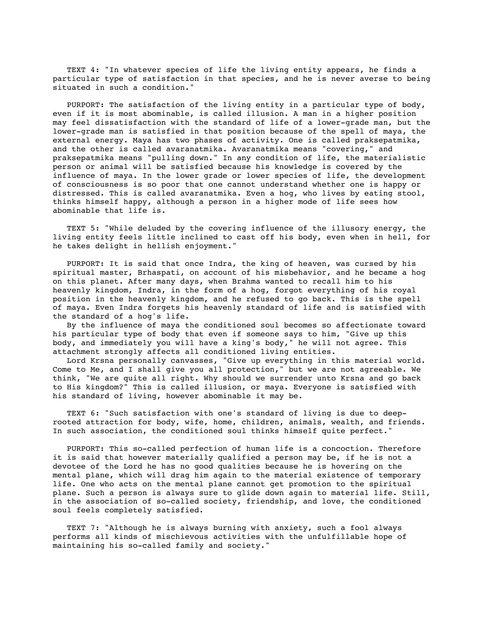TEXT 4: "In whatever species of life the living entity appears, he finds a particular type of satisfaction in that species, and he is never averse to being situated in such a condition."

PURPORT: The satisfaction of the living entity in a particular type of body, even if it is most abominable, is called illusion. A man in a higher position may feel dissatisfaction with the standard of life of a lower-grade man, but the lower-grade man is satisfied in that position because of the spell of maya, the external energy. Maya has two phases of activity. One is called praksepatmika, and the other is called avaranatmika. Avaranatmika means "covering," and praksepatmika means "pulling down." In any condition of life, the materialistic person or animal will be satisfied because his knowledge is covered by the influence of maya. In the lower grade or lower species of life, the development of consciousness is so poor that one cannot understand whether one is happy or distressed. This is called avaranatmika. Even a hog, who lives by eating stool, thinks himself happy, although a person in a higher mode of life sees how abominable that life is.

 TEXT 5: "While deluded by the covering influence of the illusory energy, the living entity feels little inclined to cast off his body, even when in hell, for he takes delight in hellish enjoyment."

 PURPORT: It is said that once Indra, the king of heaven, was cursed by his spiritual master, Brhaspati, on account of his misbehavior, and he became a hog on this planet. After many days, when Brahma wanted to recall him to his heavenly kingdom, Indra, in the form of a hog, forgot everything of his royal position in the heavenly kingdom, and he refused to go back. This is the spell of maya. Even Indra forgets his heavenly standard of life and is satisfied with the standard of a hog's life.

 By the influence of maya the conditioned soul becomes so affectionate toward his particular type of body that even if someone says to him, "Give up this body, and immediately you will have a king's body," he will not agree. This attachment strongly affects all conditioned living entities.

 Lord Krsna personally canvasses, "Give up everything in this material world. Come to Me, and I shall give you all protection," but we are not agreeable. We think, "We are quite all right. Why should we surrender unto Krsna and go back to His kingdom?" This is called illusion, or maya. Everyone is satisfied with his standard of living, however abominable it may be.

 TEXT 6: "Such satisfaction with one's standard of living is due to deeprooted attraction for body, wife, home, children, animals, wealth, and friends. In such association, the conditioned soul thinks himself quite perfect."

 PURPORT: This so-called perfection of human life is a concoction. Therefore it is said that however materially qualified a person may be, if he is not a devotee of the Lord he has no good qualities because he is hovering on the mental plane, which will drag him again to the material existence of temporary life. One who acts on the mental plane cannot get promotion to the spiritual plane. Such a person is always sure to glide down again to material life. Still, in the association of so-called society, friendship, and love, the conditioned soul feels completely satisfied.

 TEXT 7: "Although he is always burning with anxiety, such a fool always performs all kinds of mischievous activities with the unfulfillable hope of maintaining his so-called family and society."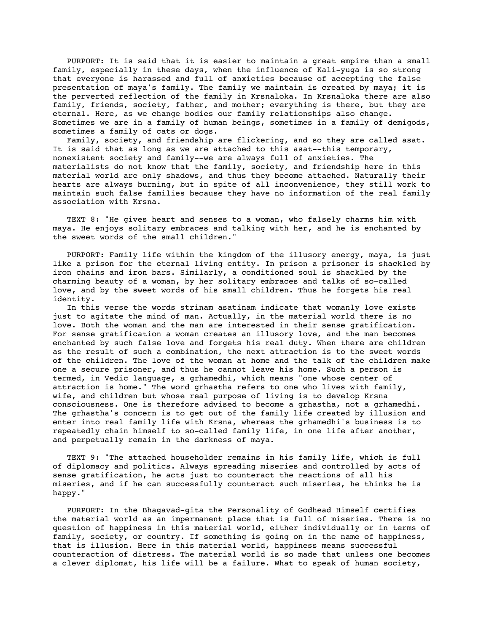PURPORT: It is said that it is easier to maintain a great empire than a small family, especially in these days, when the influence of Kali-yuga is so strong that everyone is harassed and full of anxieties because of accepting the false presentation of maya's family. The family we maintain is created by maya; it is the perverted reflection of the family in Krsnaloka. In Krsnaloka there are also family, friends, society, father, and mother; everything is there, but they are eternal. Here, as we change bodies our family relationships also change. Sometimes we are in a family of human beings, sometimes in a family of demigods, sometimes a family of cats or dogs.

 Family, society, and friendship are flickering, and so they are called asat. It is said that as long as we are attached to this asat--this temporary, nonexistent society and family--we are always full of anxieties. The materialists do not know that the family, society, and friendship here in this material world are only shadows, and thus they become attached. Naturally their hearts are always burning, but in spite of all inconvenience, they still work to maintain such false families because they have no information of the real family association with Krsna.

 TEXT 8: "He gives heart and senses to a woman, who falsely charms him with maya. He enjoys solitary embraces and talking with her, and he is enchanted by the sweet words of the small children."

 PURPORT: Family life within the kingdom of the illusory energy, maya, is just like a prison for the eternal living entity. In prison a prisoner is shackled by iron chains and iron bars. Similarly, a conditioned soul is shackled by the charming beauty of a woman, by her solitary embraces and talks of so-called love, and by the sweet words of his small children. Thus he forgets his real identity.

 In this verse the words strinam asatinam indicate that womanly love exists just to agitate the mind of man. Actually, in the material world there is no love. Both the woman and the man are interested in their sense gratification. For sense gratification a woman creates an illusory love, and the man becomes enchanted by such false love and forgets his real duty. When there are children as the result of such a combination, the next attraction is to the sweet words of the children. The love of the woman at home and the talk of the children make one a secure prisoner, and thus he cannot leave his home. Such a person is termed, in Vedic language, a grhamedhi, which means "one whose center of attraction is home." The word grhastha refers to one who lives with family, wife, and children but whose real purpose of living is to develop Krsna consciousness. One is therefore advised to become a grhastha, not a grhamedhi. The grhastha's concern is to get out of the family life created by illusion and enter into real family life with Krsna, whereas the grhamedhi's business is to repeatedly chain himself to so-called family life, in one life after another, and perpetually remain in the darkness of maya.

 TEXT 9: "The attached householder remains in his family life, which is full of diplomacy and politics. Always spreading miseries and controlled by acts of sense gratification, he acts just to counteract the reactions of all his miseries, and if he can successfully counteract such miseries, he thinks he is happy."

 PURPORT: In the Bhagavad-gita the Personality of Godhead Himself certifies the material world as an impermanent place that is full of miseries. There is no question of happiness in this material world, either individually or in terms of family, society, or country. If something is going on in the name of happiness, that is illusion. Here in this material world, happiness means successful counteraction of distress. The material world is so made that unless one becomes a clever diplomat, his life will be a failure. What to speak of human society,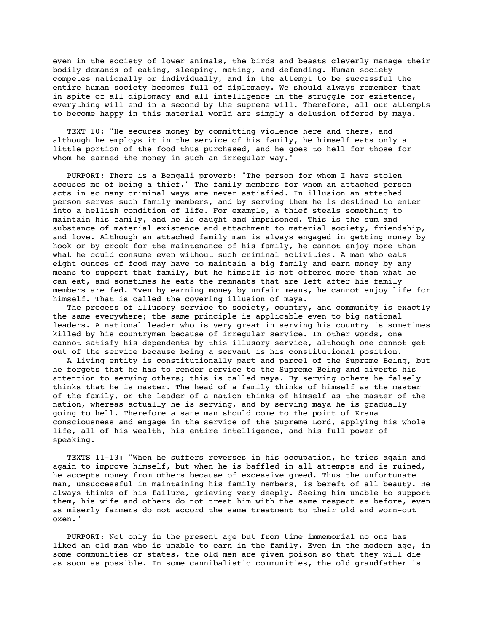even in the society of lower animals, the birds and beasts cleverly manage their bodily demands of eating, sleeping, mating, and defending. Human society competes nationally or individually, and in the attempt to be successful the entire human society becomes full of diplomacy. We should always remember that in spite of all diplomacy and all intelligence in the struggle for existence, everything will end in a second by the supreme will. Therefore, all our attempts to become happy in this material world are simply a delusion offered by maya.

 TEXT 10: "He secures money by committing violence here and there, and although he employs it in the service of his family, he himself eats only a little portion of the food thus purchased, and he goes to hell for those for whom he earned the money in such an irregular way."

 PURPORT: There is a Bengali proverb: "The person for whom I have stolen accuses me of being a thief." The family members for whom an attached person acts in so many criminal ways are never satisfied. In illusion an attached person serves such family members, and by serving them he is destined to enter into a hellish condition of life. For example, a thief steals something to maintain his family, and he is caught and imprisoned. This is the sum and substance of material existence and attachment to material society, friendship, and love. Although an attached family man is always engaged in getting money by hook or by crook for the maintenance of his family, he cannot enjoy more than what he could consume even without such criminal activities. A man who eats eight ounces of food may have to maintain a big family and earn money by any means to support that family, but he himself is not offered more than what he can eat, and sometimes he eats the remnants that are left after his family members are fed. Even by earning money by unfair means, he cannot enjoy life for himself. That is called the covering illusion of maya.

The process of illusory service to society, country, and community is exactly the same everywhere; the same principle is applicable even to big national leaders. A national leader who is very great in serving his country is sometimes killed by his countrymen because of irregular service. In other words, one cannot satisfy his dependents by this illusory service, although one cannot get out of the service because being a servant is his constitutional position.

 A living entity is constitutionally part and parcel of the Supreme Being, but he forgets that he has to render service to the Supreme Being and diverts his attention to serving others; this is called maya. By serving others he falsely thinks that he is master. The head of a family thinks of himself as the master of the family, or the leader of a nation thinks of himself as the master of the nation, whereas actually he is serving, and by serving maya he is gradually going to hell. Therefore a sane man should come to the point of Krsna consciousness and engage in the service of the Supreme Lord, applying his whole life, all of his wealth, his entire intelligence, and his full power of speaking.

 TEXTS 11-13: "When he suffers reverses in his occupation, he tries again and again to improve himself, but when he is baffled in all attempts and is ruined, he accepts money from others because of excessive greed. Thus the unfortunate man, unsuccessful in maintaining his family members, is bereft of all beauty. He always thinks of his failure, grieving very deeply. Seeing him unable to support them, his wife and others do not treat him with the same respect as before, even as miserly farmers do not accord the same treatment to their old and worn-out oxen."

 PURPORT: Not only in the present age but from time immemorial no one has liked an old man who is unable to earn in the family. Even in the modern age, in some communities or states, the old men are given poison so that they will die as soon as possible. In some cannibalistic communities, the old grandfather is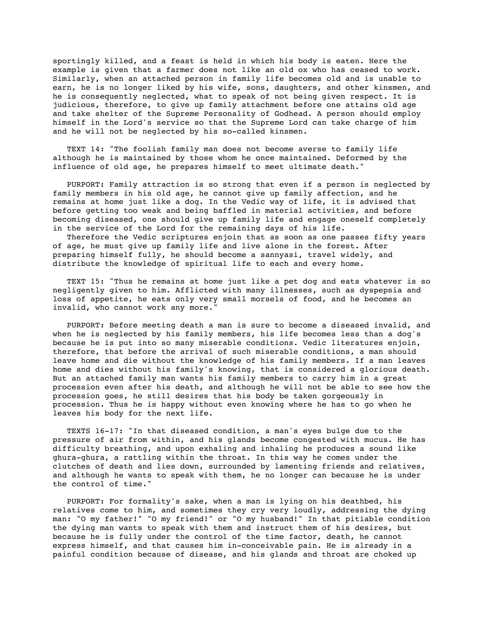sportingly killed, and a feast is held in which his body is eaten. Here the example is given that a farmer does not like an old ox who has ceased to work. Similarly, when an attached person in family life becomes old and is unable to earn, he is no longer liked by his wife, sons, daughters, and other kinsmen, and he is consequently neglected, what to speak of not being given respect. It is judicious, therefore, to give up family attachment before one attains old age and take shelter of the Supreme Personality of Godhead. A person should employ himself in the Lord's service so that the Supreme Lord can take charge of him and he will not be neglected by his so-called kinsmen.

 TEXT 14: "The foolish family man does not become averse to family life although he is maintained by those whom he once maintained. Deformed by the influence of old age, he prepares himself to meet ultimate death."

 PURPORT: Family attraction is so strong that even if a person is neglected by family members in his old age, he cannot give up family affection, and he remains at home just like a dog. In the Vedic way of life, it is advised that before getting too weak and being baffled in material activities, and before becoming diseased, one should give up family life and engage oneself completely in the service of the Lord for the remaining days of his life.

 Therefore the Vedic scriptures enjoin that as soon as one passes fifty years of age, he must give up family life and live alone in the forest. After preparing himself fully, he should become a sannyasi, travel widely, and distribute the knowledge of spiritual life to each and every home.

 TEXT 15: "Thus he remains at home just like a pet dog and eats whatever is so negligently given to him. Afflicted with many illnesses, such as dyspepsia and loss of appetite, he eats only very small morsels of food, and he becomes an invalid, who cannot work any more."

 PURPORT: Before meeting death a man is sure to become a diseased invalid, and when he is neglected by his family members, his life becomes less than a dog's because he is put into so many miserable conditions. Vedic literatures enjoin, therefore, that before the arrival of such miserable conditions, a man should leave home and die without the knowledge of his family members. If a man leaves home and dies without his family's knowing, that is considered a glorious death. But an attached family man wants his family members to carry him in a great procession even after his death, and although he will not be able to see how the procession goes, he still desires that his body be taken gorgeously in procession. Thus he is happy without even knowing where he has to go when he leaves his body for the next life.

 TEXTS 16-17: "In that diseased condition, a man's eyes bulge due to the pressure of air from within, and his glands become congested with mucus. He has difficulty breathing, and upon exhaling and inhaling he produces a sound like ghura-ghura, a rattling within the throat. In this way he comes under the clutches of death and lies down, surrounded by lamenting friends and relatives, and although he wants to speak with them, he no longer can because he is under the control of time."

 PURPORT: For formality's sake, when a man is lying on his deathbed, his relatives come to him, and sometimes they cry very loudly, addressing the dying man: "O my father!" "O my friend!" or "O my husband!" In that pitiable condition the dying man wants to speak with them and instruct them of his desires, but because he is fully under the control of the time factor, death, he cannot express himself, and that causes him in-conceivable pain. He is already in a painful condition because of disease, and his glands and throat are choked up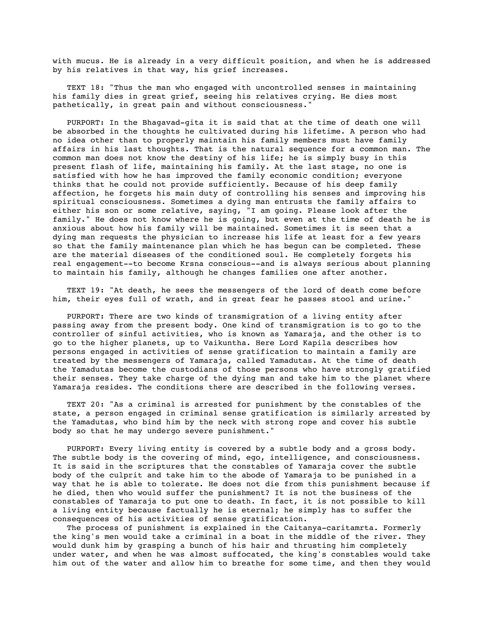with mucus. He is already in a very difficult position, and when he is addressed by his relatives in that way, his grief increases.

 TEXT 18: "Thus the man who engaged with uncontrolled senses in maintaining his family dies in great grief, seeing his relatives crying. He dies most pathetically, in great pain and without consciousness."

 PURPORT: In the Bhagavad-gita it is said that at the time of death one will be absorbed in the thoughts he cultivated during his lifetime. A person who had no idea other than to properly maintain his family members must have family affairs in his last thoughts. That is the natural sequence for a common man. The common man does not know the destiny of his life; he is simply busy in this present flash of life, maintaining his family. At the last stage, no one is satisfied with how he has improved the family economic condition; everyone thinks that he could not provide sufficiently. Because of his deep family affection, he forgets his main duty of controlling his senses and improving his spiritual consciousness. Sometimes a dying man entrusts the family affairs to either his son or some relative, saying, "I am going. Please look after the family." He does not know where he is going, but even at the time of death he is anxious about how his family will be maintained. Sometimes it is seen that a dying man requests the physician to increase his life at least for a few years so that the family maintenance plan which he has begun can be completed. These are the material diseases of the conditioned soul. He completely forgets his real engagement--to become Krsna conscious--and is always serious about planning to maintain his family, although he changes families one after another.

 TEXT 19: "At death, he sees the messengers of the lord of death come before him, their eyes full of wrath, and in great fear he passes stool and urine."

 PURPORT: There are two kinds of transmigration of a living entity after passing away from the present body. One kind of transmigration is to go to the controller of sinful activities, who is known as Yamaraja, and the other is to go to the higher planets, up to Vaikuntha. Here Lord Kapila describes how persons engaged in activities of sense gratification to maintain a family are treated by the messengers of Yamaraja, called Yamadutas. At the time of death the Yamadutas become the custodians of those persons who have strongly gratified their senses. They take charge of the dying man and take him to the planet where Yamaraja resides. The conditions there are described in the following verses.

 TEXT 20: "As a criminal is arrested for punishment by the constables of the state, a person engaged in criminal sense gratification is similarly arrested by the Yamadutas, who bind him by the neck with strong rope and cover his subtle body so that he may undergo severe punishment."

 PURPORT: Every living entity is covered by a subtle body and a gross body. The subtle body is the covering of mind, ego, intelligence, and consciousness. It is said in the scriptures that the constables of Yamaraja cover the subtle body of the culprit and take him to the abode of Yamaraja to be punished in a way that he is able to tolerate. He does not die from this punishment because if he died, then who would suffer the punishment? It is not the business of the constables of Yamaraja to put one to death. In fact, it is not possible to kill a living entity because factually he is eternal; he simply has to suffer the consequences of his activities of sense gratification.

 The process of punishment is explained in the Caitanya-caritamrta. Formerly the king's men would take a criminal in a boat in the middle of the river. They would dunk him by grasping a bunch of his hair and thrusting him completely under water, and when he was almost suffocated, the king's constables would take him out of the water and allow him to breathe for some time, and then they would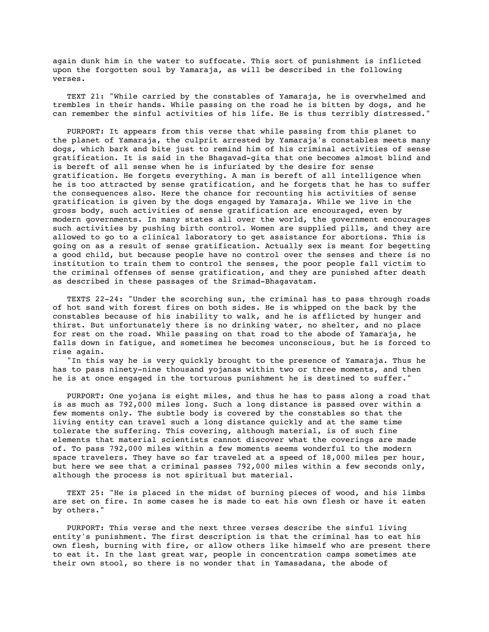again dunk him in the water to suffocate. This sort of punishment is inflicted upon the forgotten soul by Yamaraja, as will be described in the following verses.

 TEXT 21: "While carried by the constables of Yamaraja, he is overwhelmed and trembles in their hands. While passing on the road he is bitten by dogs, and he can remember the sinful activities of his life. He is thus terribly distressed."

 PURPORT: It appears from this verse that while passing from this planet to the planet of Yamaraja, the culprit arrested by Yamaraja's constables meets many dogs, which bark and bite just to remind him of his criminal activities of sense gratification. It is said in the Bhagavad-gita that one becomes almost blind and is bereft of all sense when he is infuriated by the desire for sense gratification. He forgets everything. A man is bereft of all intelligence when he is too attracted by sense gratification, and he forgets that he has to suffer the consequences also. Here the chance for recounting his activities of sense gratification is given by the dogs engaged by Yamaraja. While we live in the gross body, such activities of sense gratification are encouraged, even by modern governments. In many states all over the world, the government encourages such activities by pushing birth control. Women are supplied pills, and they are allowed to go to a clinical laboratory to get assistance for abortions. This is going on as a result of sense gratification. Actually sex is meant for begetting a good child, but because people have no control over the senses and there is no institution to train them to control the senses, the poor people fall victim to the criminal offenses of sense gratification, and they are punished after death as described in these passages of the Srimad-Bhagavatam.

 TEXTS 22-24: "Under the scorching sun, the criminal has to pass through roads of hot sand with forest fires on both sides. He is whipped on the back by the constables because of his inability to walk, and he is afflicted by hunger and thirst. But unfortunately there is no drinking water, no shelter, and no place for rest on the road. While passing on that road to the abode of Yamaraja, he falls down in fatigue, and sometimes he becomes unconscious, but he is forced to rise again.

 "In this way he is very quickly brought to the presence of Yamaraja. Thus he has to pass ninety-nine thousand yojanas within two or three moments, and then he is at once engaged in the torturous punishment he is destined to suffer."

 PURPORT: One yojana is eight miles, and thus he has to pass along a road that is as much as 792,000 miles long. Such a long distance is passed over within a few moments only. The subtle body is covered by the constables so that the living entity can travel such a long distance quickly and at the same time tolerate the suffering. This covering, although material, is of such fine elements that material scientists cannot discover what the coverings are made of. To pass 792,000 miles within a few moments seems wonderful to the modern space travelers. They have so far traveled at a speed of 18,000 miles per hour, but here we see that a criminal passes 792,000 miles within a few seconds only, although the process is not spiritual but material.

 TEXT 25: "He is placed in the midst of burning pieces of wood, and his limbs are set on fire. In some cases he is made to eat his own flesh or have it eaten by others."

 PURPORT: This verse and the next three verses describe the sinful living entity's punishment. The first description is that the criminal has to eat his own flesh, burning with fire, or allow others like himself who are present there to eat it. In the last great war, people in concentration camps sometimes ate their own stool, so there is no wonder that in Yamasadana, the abode of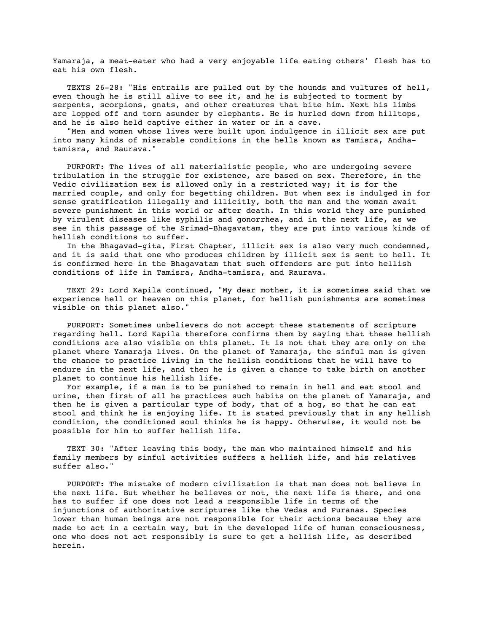Yamaraja, a meat-eater who had a very enjoyable life eating others' flesh has to eat his own flesh.

 TEXTS 26-28: "His entrails are pulled out by the hounds and vultures of hell, even though he is still alive to see it, and he is subjected to torment by serpents, scorpions, gnats, and other creatures that bite him. Next his limbs are lopped off and torn asunder by elephants. He is hurled down from hilltops, and he is also held captive either in water or in a cave.

 "Men and women whose lives were built upon indulgence in illicit sex are put into many kinds of miserable conditions in the hells known as Tamisra, Andhatamisra, and Raurava."

 PURPORT: The lives of all materialistic people, who are undergoing severe tribulation in the struggle for existence, are based on sex. Therefore, in the Vedic civilization sex is allowed only in a restricted way; it is for the married couple, and only for begetting children. But when sex is indulged in for sense gratification illegally and illicitly, both the man and the woman await severe punishment in this world or after death. In this world they are punished by virulent diseases like syphilis and gonorrhea, and in the next life, as we see in this passage of the Srimad-Bhagavatam, they are put into various kinds of hellish conditions to suffer.

 In the Bhagavad-gita, First Chapter, illicit sex is also very much condemned, and it is said that one who produces children by illicit sex is sent to hell. It is confirmed here in the Bhagavatam that such offenders are put into hellish conditions of life in Tamisra, Andha-tamisra, and Raurava.

 TEXT 29: Lord Kapila continued, "My dear mother, it is sometimes said that we experience hell or heaven on this planet, for hellish punishments are sometimes visible on this planet also."

 PURPORT: Sometimes unbelievers do not accept these statements of scripture regarding hell. Lord Kapila therefore confirms them by saying that these hellish conditions are also visible on this planet. It is not that they are only on the planet where Yamaraja lives. On the planet of Yamaraja, the sinful man is given the chance to practice living in the hellish conditions that he will have to endure in the next life, and then he is given a chance to take birth on another planet to continue his hellish life.

 For example, if a man is to be punished to remain in hell and eat stool and urine, then first of all he practices such habits on the planet of Yamaraja, and then he is given a particular type of body, that of a hog, so that he can eat stool and think he is enjoying life. It is stated previously that in any hellish condition, the conditioned soul thinks he is happy. Otherwise, it would not be possible for him to suffer hellish life.

 TEXT 30: "After leaving this body, the man who maintained himself and his family members by sinful activities suffers a hellish life, and his relatives suffer also."

 PURPORT: The mistake of modern civilization is that man does not believe in the next life. But whether he believes or not, the next life is there, and one has to suffer if one does not lead a responsible life in terms of the injunctions of authoritative scriptures like the Vedas and Puranas. Species lower than human beings are not responsible for their actions because they are made to act in a certain way, but in the developed life of human consciousness, one who does not act responsibly is sure to get a hellish life, as described herein.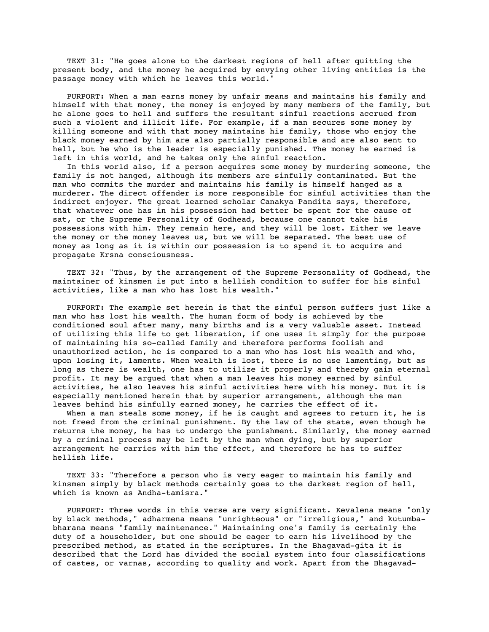TEXT 31: "He goes alone to the darkest regions of hell after quitting the present body, and the money he acquired by envying other living entities is the passage money with which he leaves this world."

 PURPORT: When a man earns money by unfair means and maintains his family and himself with that money, the money is enjoyed by many members of the family, but he alone goes to hell and suffers the resultant sinful reactions accrued from such a violent and illicit life. For example, if a man secures some money by killing someone and with that money maintains his family, those who enjoy the black money earned by him are also partially responsible and are also sent to hell, but he who is the leader is especially punished. The money he earned is left in this world, and he takes only the sinful reaction.

 In this world also, if a person acquires some money by murdering someone, the family is not hanged, although its members are sinfully contaminated. But the man who commits the murder and maintains his family is himself hanged as a murderer. The direct offender is more responsible for sinful activities than the indirect enjoyer. The great learned scholar Canakya Pandita says, therefore, that whatever one has in his possession had better be spent for the cause of sat, or the Supreme Personality of Godhead, because one cannot take his possessions with him. They remain here, and they will be lost. Either we leave the money or the money leaves us, but we will be separated. The best use of money as long as it is within our possession is to spend it to acquire and propagate Krsna consciousness.

 TEXT 32: "Thus, by the arrangement of the Supreme Personality of Godhead, the maintainer of kinsmen is put into a hellish condition to suffer for his sinful activities, like a man who has lost his wealth."

 PURPORT: The example set herein is that the sinful person suffers just like a man who has lost his wealth. The human form of body is achieved by the conditioned soul after many, many births and is a very valuable asset. Instead of utilizing this life to get liberation, if one uses it simply for the purpose of maintaining his so-called family and therefore performs foolish and unauthorized action, he is compared to a man who has lost his wealth and who, upon losing it, laments. When wealth is lost, there is no use lamenting, but as long as there is wealth, one has to utilize it properly and thereby gain eternal profit. It may be argued that when a man leaves his money earned by sinful activities, he also leaves his sinful activities here with his money. But it is especially mentioned herein that by superior arrangement, although the man leaves behind his sinfully earned money, he carries the effect of it.

When a man steals some money, if he is caught and agrees to return it, he is not freed from the criminal punishment. By the law of the state, even though he returns the money, he has to undergo the punishment. Similarly, the money earned by a criminal process may be left by the man when dying, but by superior arrangement he carries with him the effect, and therefore he has to suffer hellish life.

 TEXT 33: "Therefore a person who is very eager to maintain his family and kinsmen simply by black methods certainly goes to the darkest region of hell, which is known as Andha-tamisra."

 PURPORT: Three words in this verse are very significant. Kevalena means "only by black methods," adharmena means "unrighteous" or "irreligious," and kutumbabharana means "family maintenance." Maintaining one's family is certainly the duty of a householder, but one should be eager to earn his livelihood by the prescribed method, as stated in the scriptures. In the Bhagavad-gita it is described that the Lord has divided the social system into four classifications of castes, or varnas, according to quality and work. Apart from the Bhagavad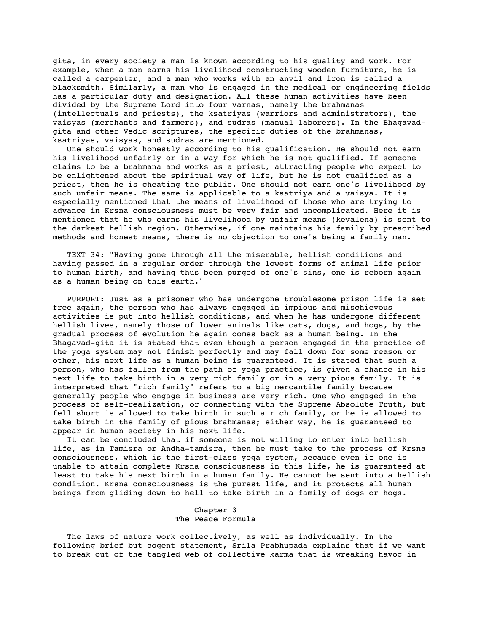gita, in every society a man is known according to his quality and work. For example, when a man earns his livelihood constructing wooden furniture, he is called a carpenter, and a man who works with an anvil and iron is called a blacksmith. Similarly, a man who is engaged in the medical or engineering fields has a particular duty and designation. All these human activities have been divided by the Supreme Lord into four varnas, namely the brahmanas (intellectuals and priests), the ksatriyas (warriors and administrators), the vaisyas (merchants and farmers), and sudras (manual laborers). In the Bhagavadgita and other Vedic scriptures, the specific duties of the brahmanas, ksatriyas, vaisyas, and sudras are mentioned.

 One should work honestly according to his qualification. He should not earn his livelihood unfairly or in a way for which he is not qualified. If someone claims to be a brahmana and works as a priest, attracting people who expect to be enlightened about the spiritual way of life, but he is not qualified as a priest, then he is cheating the public. One should not earn one's livelihood by such unfair means. The same is applicable to a ksatriya and a vaisya. It is especially mentioned that the means of livelihood of those who are trying to advance in Krsna consciousness must be very fair and uncomplicated. Here it is mentioned that he who earns his livelihood by unfair means (kevalena) is sent to the darkest hellish region. Otherwise, if one maintains his family by prescribed methods and honest means, there is no objection to one's being a family man.

 TEXT 34: "Having gone through all the miserable, hellish conditions and having passed in a regular order through the lowest forms of animal life prior to human birth, and having thus been purged of one's sins, one is reborn again as a human being on this earth."

 PURPORT: Just as a prisoner who has undergone troublesome prison life is set free again, the person who has always engaged in impious and mischievous activities is put into hellish conditions, and when he has undergone different hellish lives, namely those of lower animals like cats, dogs, and hogs, by the gradual process of evolution he again comes back as a human being. In the Bhagavad-gita it is stated that even though a person engaged in the practice of the yoga system may not finish perfectly and may fall down for some reason or other, his next life as a human being is guaranteed. It is stated that such a person, who has fallen from the path of yoga practice, is given a chance in his next life to take birth in a very rich family or in a very pious family. It is interpreted that "rich family" refers to a big mercantile family because generally people who engage in business are very rich. One who engaged in the process of self-realization, or connecting with the Supreme Absolute Truth, but fell short is allowed to take birth in such a rich family, or he is allowed to take birth in the family of pious brahmanas; either way, he is guaranteed to appear in human society in his next life.

 It can be concluded that if someone is not willing to enter into hellish life, as in Tamisra or Andha-tamisra, then he must take to the process of Krsna consciousness, which is the first-class yoga system, because even if one is unable to attain complete Krsna consciousness in this life, he is guaranteed at least to take his next birth in a human family. He cannot be sent into a hellish condition. Krsna consciousness is the purest life, and it protects all human beings from gliding down to hell to take birth in a family of dogs or hogs.

### Chapter 3 The Peace Formula

 The laws of nature work collectively, as well as individually. In the following brief but cogent statement, Srila Prabhupada explains that if we want to break out of the tangled web of collective karma that is wreaking havoc in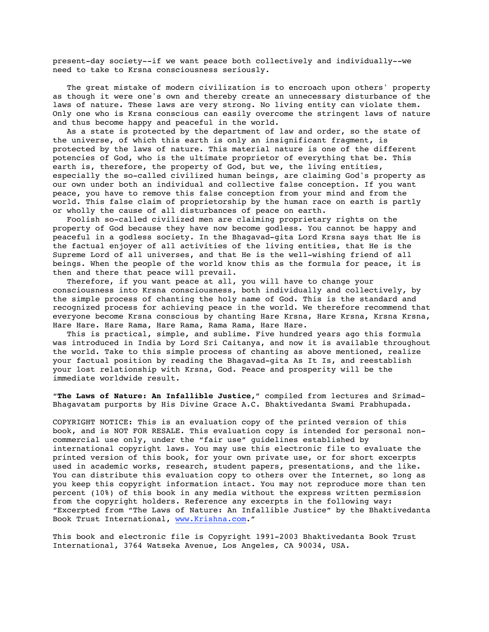present-day society--if we want peace both collectively and individually--we need to take to Krsna consciousness seriously.

 The great mistake of modern civilization is to encroach upon others' property as though it were one's own and thereby create an unnecessary disturbance of the laws of nature. These laws are very strong. No living entity can violate them. Only one who is Krsna conscious can easily overcome the stringent laws of nature and thus become happy and peaceful in the world.

 As a state is protected by the department of law and order, so the state of the universe, of which this earth is only an insignificant fragment, is protected by the laws of nature. This material nature is one of the different potencies of God, who is the ultimate proprietor of everything that be. This earth is, therefore, the property of God, but we, the living entities, especially the so-called civilized human beings, are claiming God's property as our own under both an individual and collective false conception. If you want peace, you have to remove this false conception from your mind and from the world. This false claim of proprietorship by the human race on earth is partly or wholly the cause of all disturbances of peace on earth.

 Foolish so-called civilized men are claiming proprietary rights on the property of God because they have now become godless. You cannot be happy and peaceful in a godless society. In the Bhagavad-gita Lord Krsna says that He is the factual enjoyer of all activities of the living entities, that He is the Supreme Lord of all universes, and that He is the well-wishing friend of all beings. When the people of the world know this as the formula for peace, it is then and there that peace will prevail.

 Therefore, if you want peace at all, you will have to change your consciousness into Krsna consciousness, both individually and collectively, by the simple process of chanting the holy name of God. This is the standard and recognized process for achieving peace in the world. We therefore recommend that everyone become Krsna conscious by chanting Hare Krsna, Hare Krsna, Krsna Krsna, Hare Hare. Hare Rama, Hare Rama, Rama Rama, Hare Hare.

 This is practical, simple, and sublime. Five hundred years ago this formula was introduced in India by Lord Sri Caitanya, and now it is available throughout the world. Take to this simple process of chanting as above mentioned, realize your factual position by reading the Bhagavad-gita As It Is, and reestablish your lost relationship with Krsna, God. Peace and prosperity will be the immediate worldwide result.

"**The Laws of Nature: An Infallible Justice,**" compiled from lectures and Srimad-Bhagavatam purports by His Divine Grace A.C. Bhaktivedanta Swami Prabhupada.

COPYRIGHT NOTICE: This is an evaluation copy of the printed version of this book, and is NOT FOR RESALE. This evaluation copy is intended for personal noncommercial use only, under the "fair use" guidelines established by international copyright laws. You may use this electronic file to evaluate the printed version of this book, for your own private use, or for short excerpts used in academic works, research, student papers, presentations, and the like. You can distribute this evaluation copy to others over the Internet, so long as you keep this copyright information intact. You may not reproduce more than ten percent (10%) of this book in any media without the express written permission from the copyright holders. Reference any excerpts in the following way: "Excerpted from "The Laws of Nature: An Infallible Justice" by the Bhaktivedanta Book Trust International, www.Krishna.com."

This book and electronic file is Copyright 1991-2003 Bhaktivedanta Book Trust International, 3764 Watseka Avenue, Los Angeles, CA 90034, USA.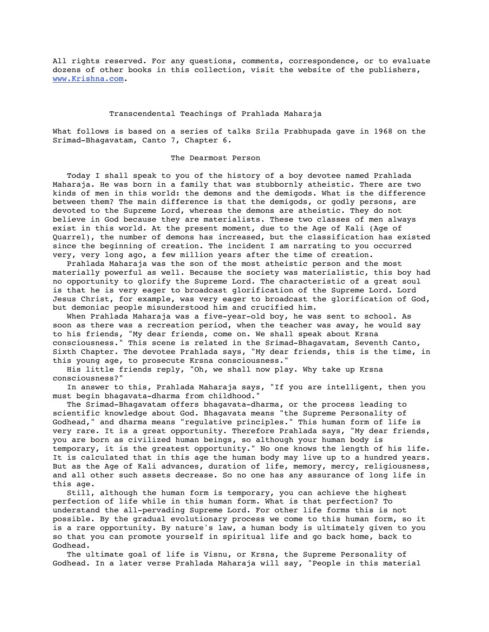All rights reserved. For any questions, comments, correspondence, or to evaluate dozens of other books in this collection, visit the website of the publishers, www.Krishna.com.

#### Transcendental Teachings of Prahlada Maharaja

What follows is based on a series of talks Srila Prabhupada gave in 1968 on the Srimad-Bhagavatam, Canto 7, Chapter 6.

# The Dearmost Person

 Today I shall speak to you of the history of a boy devotee named Prahlada Maharaja. He was born in a family that was stubbornly atheistic. There are two kinds of men in this world: the demons and the demigods. What is the difference between them? The main difference is that the demigods, or godly persons, are devoted to the Supreme Lord, whereas the demons are atheistic. They do not believe in God because they are materialists. These two classes of men always exist in this world. At the present moment, due to the Age of Kali (Age of Quarrel), the number of demons has increased, but the classification has existed since the beginning of creation. The incident I am narrating to you occurred very, very long ago, a few million years after the time of creation.

 Prahlada Maharaja was the son of the most atheistic person and the most materially powerful as well. Because the society was materialistic, this boy had no opportunity to glorify the Supreme Lord. The characteristic of a great soul is that he is very eager to broadcast glorification of the Supreme Lord. Lord Jesus Christ, for example, was very eager to broadcast the glorification of God, but demoniac people misunderstood him and crucified him.

 When Prahlada Maharaja was a five-year-old boy, he was sent to school. As soon as there was a recreation period, when the teacher was away, he would say to his friends, "My dear friends, come on. We shall speak about Krsna consciousness." This scene is related in the Srimad-Bhagavatam, Seventh Canto, Sixth Chapter. The devotee Prahlada says, "My dear friends, this is the time, in this young age, to prosecute Krsna consciousness."

 His little friends reply, "Oh, we shall now play. Why take up Krsna consciousness?"

 In answer to this, Prahlada Maharaja says, "If you are intelligent, then you must begin bhagavata-dharma from childhood."

 The Srimad-Bhagavatam offers bhagavata-dharma, or the process leading to scientific knowledge about God. Bhagavata means "the Supreme Personality of Godhead," and dharma means "regulative principles." This human form of life is very rare. It is a great opportunity. Therefore Prahlada says, "My dear friends, you are born as civilized human beings, so although your human body is temporary, it is the greatest opportunity." No one knows the length of his life. It is calculated that in this age the human body may live up to a hundred years. But as the Age of Kali advances, duration of life, memory, mercy, religiousness, and all other such assets decrease. So no one has any assurance of long life in this age.

 Still, although the human form is temporary, you can achieve the highest perfection of life while in this human form. What is that perfection? To understand the all-pervading Supreme Lord. For other life forms this is not possible. By the gradual evolutionary process we come to this human form, so it is a rare opportunity. By nature's law, a human body is ultimately given to you so that you can promote yourself in spiritual life and go back home, back to Godhead.

 The ultimate goal of life is Visnu, or Krsna, the Supreme Personality of Godhead. In a later verse Prahlada Maharaja will say, "People in this material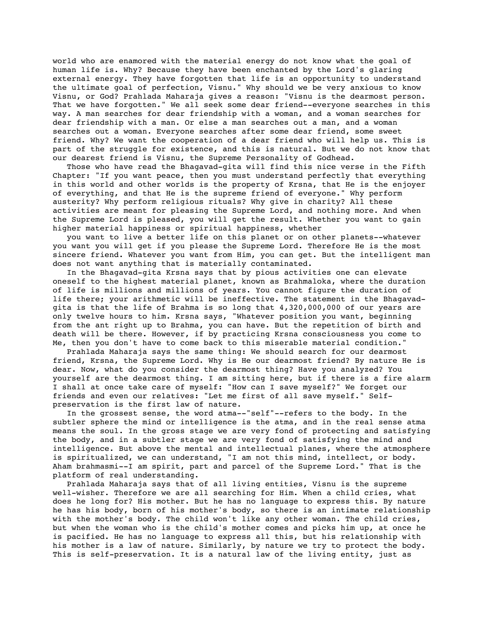world who are enamored with the material energy do not know what the goal of human life is. Why? Because they have been enchanted by the Lord's glaring external energy. They have forgotten that life is an opportunity to understand the ultimate goal of perfection, Visnu." Why should we be very anxious to know Visnu, or God? Prahlada Maharaja gives a reason: "Visnu is the dearmost person. That we have forgotten." We all seek some dear friend--everyone searches in this way. A man searches for dear friendship with a woman, and a woman searches for dear friendship with a man. Or else a man searches out a man, and a woman searches out a woman. Everyone searches after some dear friend, some sweet friend. Why? We want the cooperation of a dear friend who will help us. This is part of the struggle for existence, and this is natural. But we do not know that our dearest friend is Visnu, the Supreme Personality of Godhead.

 Those who have read the Bhagavad-gita will find this nice verse in the Fifth Chapter: "If you want peace, then you must understand perfectly that everything in this world and other worlds is the property of Krsna, that He is the enjoyer of everything, and that He is the supreme friend of everyone." Why perform austerity? Why perform religious rituals? Why give in charity? All these activities are meant for pleasing the Supreme Lord, and nothing more. And when the Supreme Lord is pleased, you will get the result. Whether you want to gain higher material happiness or spiritual happiness, whether

 you want to live a better life on this planet or on other planets--whatever you want you will get if you please the Supreme Lord. Therefore He is the most sincere friend. Whatever you want from Him, you can get. But the intelligent man does not want anything that is materially contaminated.

 In the Bhagavad-gita Krsna says that by pious activities one can elevate oneself to the highest material planet, known as Brahmaloka, where the duration of life is millions and millions of years. You cannot figure the duration of life there; your arithmetic will be ineffective. The statement in the Bhagavadgita is that the life of Brahma is so long that 4,320,000,000 of our years are only twelve hours to him. Krsna says, "Whatever position you want, beginning from the ant right up to Brahma, you can have. But the repetition of birth and death will be there. However, if by practicing Krsna consciousness you come to Me, then you don't have to come back to this miserable material condition."

 Prahlada Maharaja says the same thing: We should search for our dearmost friend, Krsna, the Supreme Lord. Why is He our dearmost friend? By nature He is dear. Now, what do you consider the dearmost thing? Have you analyzed? You yourself are the dearmost thing. I am sitting here, but if there is a fire alarm I shall at once take care of myself: "How can I save myself?" We forget our friends and even our relatives: "Let me first of all save myself." Selfpreservation is the first law of nature.

 In the grossest sense, the word atma--"self"--refers to the body. In the subtler sphere the mind or intelligence is the atma, and in the real sense atma means the soul. In the gross stage we are very fond of protecting and satisfying the body, and in a subtler stage we are very fond of satisfying the mind and intelligence. But above the mental and intellectual planes, where the atmosphere is spiritualized, we can understand, "I am not this mind, intellect, or body. Aham brahmasmi--I am spirit, part and parcel of the Supreme Lord." That is the platform of real understanding.

 Prahlada Maharaja says that of all living entities, Visnu is the supreme well-wisher. Therefore we are all searching for Him. When a child cries, what does he long for? His mother. But he has no language to express this. By nature he has his body, born of his mother's body, so there is an intimate relationship with the mother's body. The child won't like any other woman. The child cries, but when the woman who is the child's mother comes and picks him up, at once he is pacified. He has no language to express all this, but his relationship with his mother is a law of nature. Similarly, by nature we try to protect the body. This is self-preservation. It is a natural law of the living entity, just as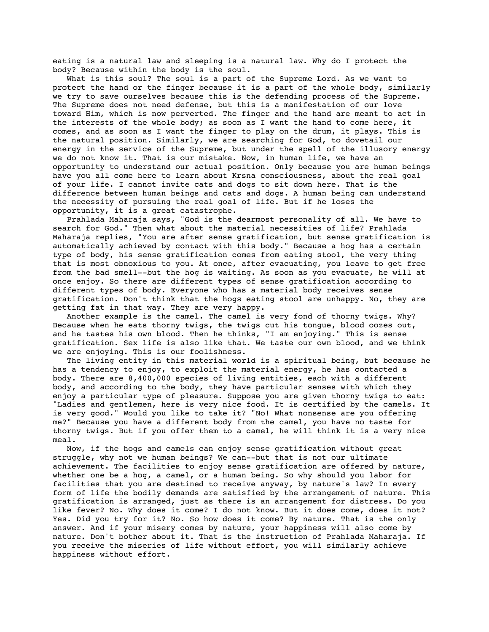eating is a natural law and sleeping is a natural law. Why do I protect the body? Because within the body is the soul.

 What is this soul? The soul is a part of the Supreme Lord. As we want to protect the hand or the finger because it is a part of the whole body, similarly we try to save ourselves because this is the defending process of the Supreme. The Supreme does not need defense, but this is a manifestation of our love toward Him, which is now perverted. The finger and the hand are meant to act in the interests of the whole body; as soon as I want the hand to come here, it comes, and as soon as I want the finger to play on the drum, it plays. This is the natural position. Similarly, we are searching for God, to dovetail our energy in the service of the Supreme, but under the spell of the illusory energy we do not know it. That is our mistake. Now, in human life, we have an opportunity to understand our actual position. Only because you are human beings have you all come here to learn about Krsna consciousness, about the real goal of your life. I cannot invite cats and dogs to sit down here. That is the difference between human beings and cats and dogs. A human being can understand the necessity of pursuing the real goal of life. But if he loses the opportunity, it is a great catastrophe.

 Prahlada Maharaja says, "God is the dearmost personality of all. We have to search for God." Then what about the material necessities of life? Prahlada Maharaja replies, "You are after sense gratification, but sense gratification is automatically achieved by contact with this body." Because a hog has a certain type of body, his sense gratification comes from eating stool, the very thing that is most obnoxious to you. At once, after evacuating, you leave to get free from the bad smell--but the hog is waiting. As soon as you evacuate, he will at once enjoy. So there are different types of sense gratification according to different types of body. Everyone who has a material body receives sense gratification. Don't think that the hogs eating stool are unhappy. No, they are getting fat in that way. They are very happy.

 Another example is the camel. The camel is very fond of thorny twigs. Why? Because when he eats thorny twigs, the twigs cut his tongue, blood oozes out, and he tastes his own blood. Then he thinks, "I am enjoying." This is sense gratification. Sex life is also like that. We taste our own blood, and we think we are enjoying. This is our foolishness.

 The living entity in this material world is a spiritual being, but because he has a tendency to enjoy, to exploit the material energy, he has contacted a body. There are 8,400,000 species of living entities, each with a different body, and according to the body, they have particular senses with which they enjoy a particular type of pleasure. Suppose you are given thorny twigs to eat: "Ladies and gentlemen, here is very nice food. It is certified by the camels. It is very good." Would you like to take it? "No! What nonsense are you offering me?" Because you have a different body from the camel, you have no taste for thorny twigs. But if you offer them to a camel, he will think it is a very nice meal.

 Now, if the hogs and camels can enjoy sense gratification without great struggle, why not we human beings? We can--but that is not our ultimate achievement. The facilities to enjoy sense gratification are offered by nature, whether one be a hog, a camel, or a human being. So why should you labor for facilities that you are destined to receive anyway, by nature's law? In every form of life the bodily demands are satisfied by the arrangement of nature. This gratification is arranged, just as there is an arrangement for distress. Do you like fever? No. Why does it come? I do not know. But it does come, does it not? Yes. Did you try for it? No. So how does it come? By nature. That is the only answer. And if your misery comes by nature, your happiness will also come by nature. Don't bother about it. That is the instruction of Prahlada Maharaja. If you receive the miseries of life without effort, you will similarly achieve happiness without effort.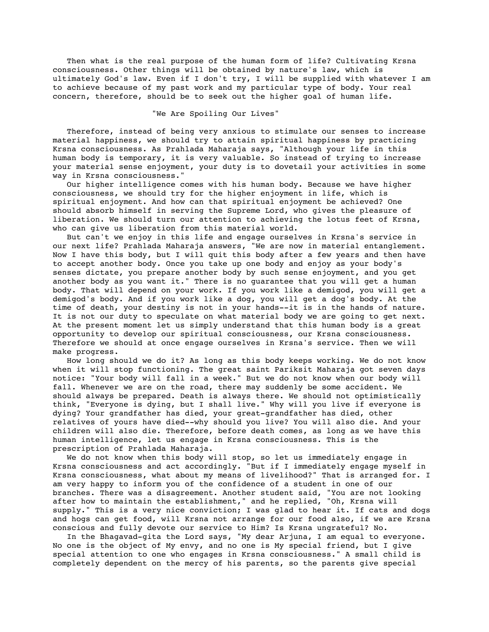Then what is the real purpose of the human form of life? Cultivating Krsna consciousness. Other things will be obtained by nature's law, which is ultimately God's law. Even if I don't try, I will be supplied with whatever I am to achieve because of my past work and my particular type of body. Your real concern, therefore, should be to seek out the higher goal of human life.

### "We Are Spoiling Our Lives"

 Therefore, instead of being very anxious to stimulate our senses to increase material happiness, we should try to attain spiritual happiness by practicing Krsna consciousness. As Prahlada Maharaja says, "Although your life in this human body is temporary, it is very valuable. So instead of trying to increase your material sense enjoyment, your duty is to dovetail your activities in some way in Krsna consciousness."

 Our higher intelligence comes with his human body. Because we have higher consciousness, we should try for the higher enjoyment in life, which is spiritual enjoyment. And how can that spiritual enjoyment be achieved? One should absorb himself in serving the Supreme Lord, who gives the pleasure of liberation. We should turn our attention to achieving the lotus feet of Krsna, who can give us liberation from this material world.

 But can't we enjoy in this life and engage ourselves in Krsna's service in our next life? Prahlada Maharaja answers, "We are now in material entanglement. Now I have this body, but I will quit this body after a few years and then have to accept another body. Once you take up one body and enjoy as your body's senses dictate, you prepare another body by such sense enjoyment, and you get another body as you want it." There is no guarantee that you will get a human body. That will depend on your work. If you work like a demigod, you will get a demigod's body. And if you work like a dog, you will get a dog's body. At the time of death, your destiny is not in your hands--it is in the hands of nature. It is not our duty to speculate on what material body we are going to get next. At the present moment let us simply understand that this human body is a great opportunity to develop our spiritual consciousness, our Krsna consciousness. Therefore we should at once engage ourselves in Krsna's service. Then we will make progress.

 How long should we do it? As long as this body keeps working. We do not know when it will stop functioning. The great saint Pariksit Maharaja got seven days notice: "Your body will fall in a week." But we do not know when our body will fall. Whenever we are on the road, there may suddenly be some accident. We should always be prepared. Death is always there. We should not optimistically think, "Everyone is dying, but I shall live." Why will you live if everyone is dying? Your grandfather has died, your great-grandfather has died, other relatives of yours have died--why should you live? You will also die. And your children will also die. Therefore, before death comes, as long as we have this human intelligence, let us engage in Krsna consciousness. This is the prescription of Prahlada Maharaja.

 We do not know when this body will stop, so let us immediately engage in Krsna consciousness and act accordingly. "But if I immediately engage myself in Krsna consciousness, what about my means of livelihood?" That is arranged for. I am very happy to inform you of the confidence of a student in one of our branches. There was a disagreement. Another student said, "You are not looking after how to maintain the establishment," and he replied, "Oh, Krsna will supply." This is a very nice conviction; I was glad to hear it. If cats and dogs and hogs can get food, will Krsna not arrange for our food also, if we are Krsna conscious and fully devote our service to Him? Is Krsna ungrateful? No.

 In the Bhagavad-gita the Lord says, "My dear Arjuna, I am equal to everyone. No one is the object of My envy, and no one is My special friend, but I give special attention to one who engages in Krsna consciousness." A small child is completely dependent on the mercy of his parents, so the parents give special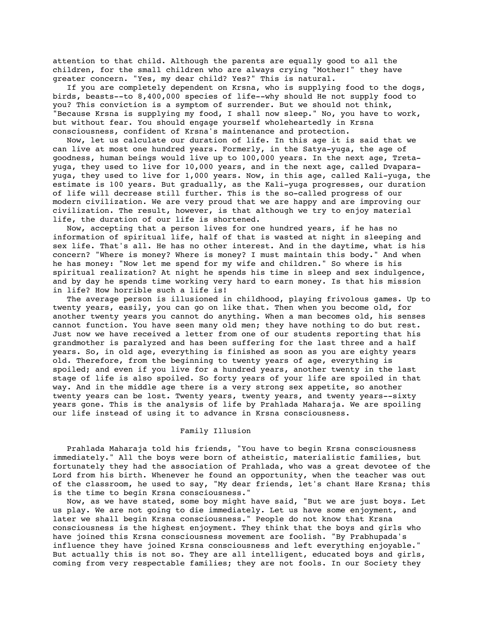attention to that child. Although the parents are equally good to all the children, for the small children who are always crying "Mother!" they have greater concern. "Yes, my dear child? Yes?" This is natural.

 If you are completely dependent on Krsna, who is supplying food to the dogs, birds, beasts--to 8,400,000 species of life--why should He not supply food to you? This conviction is a symptom of surrender. But we should not think, "Because Krsna is supplying my food, I shall now sleep." No, you have to work, but without fear. You should engage yourself wholeheartedly in Krsna consciousness, confident of Krsna's maintenance and protection.

 Now, let us calculate our duration of life. In this age it is said that we can live at most one hundred years. Formerly, in the Satya-yuga, the age of goodness, human beings would live up to 100,000 years. In the next age, Tretayuga, they used to live for 10,000 years, and in the next age, called Dvaparayuga, they used to live for 1,000 years. Now, in this age, called Kali-yuga, the estimate is 100 years. But gradually, as the Kali-yuga progresses, our duration of life will decrease still further. This is the so-called progress of our modern civilization. We are very proud that we are happy and are improving our civilization. The result, however, is that although we try to enjoy material life, the duration of our life is shortened.

 Now, accepting that a person lives for one hundred years, if he has no information of spiritual life, half of that is wasted at night in sleeping and sex life. That's all. He has no other interest. And in the daytime, what is his concern? "Where is money? Where is money? I must maintain this body." And when he has money: "Now let me spend for my wife and children." So where is his spiritual realization? At night he spends his time in sleep and sex indulgence, and by day he spends time working very hard to earn money. Is that his mission in life? How horrible such a life is!

 The average person is illusioned in childhood, playing frivolous games. Up to twenty years, easily, you can go on like that. Then when you become old, for another twenty years you cannot do anything. When a man becomes old, his senses cannot function. You have seen many old men; they have nothing to do but rest. Just now we have received a letter from one of our students reporting that his grandmother is paralyzed and has been suffering for the last three and a half years. So, in old age, everything is finished as soon as you are eighty years old. Therefore, from the beginning to twenty years of age, everything is spoiled; and even if you live for a hundred years, another twenty in the last stage of life is also spoiled. So forty years of your life are spoiled in that way. And in the middle age there is a very strong sex appetite, so another twenty years can be lost. Twenty years, twenty years, and twenty years--sixty years gone. This is the analysis of life by Prahlada Maharaja. We are spoiling our life instead of using it to advance in Krsna consciousness.

### Family Illusion

 Prahlada Maharaja told his friends, "You have to begin Krsna consciousness immediately." All the boys were born of atheistic, materialistic families, but fortunately they had the association of Prahlada, who was a great devotee of the Lord from his birth. Whenever he found an opportunity, when the teacher was out of the classroom, he used to say, "My dear friends, let's chant Hare Krsna; this is the time to begin Krsna consciousness."

 Now, as we have stated, some boy might have said, "But we are just boys. Let us play. We are not going to die immediately. Let us have some enjoyment, and later we shall begin Krsna consciousness." People do not know that Krsna consciousness is the highest enjoyment. They think that the boys and girls who have joined this Krsna consciousness movement are foolish. "By Prabhupada's influence they have joined Krsna consciousness and left everything enjoyable." But actually this is not so. They are all intelligent, educated boys and girls, coming from very respectable families; they are not fools. In our Society they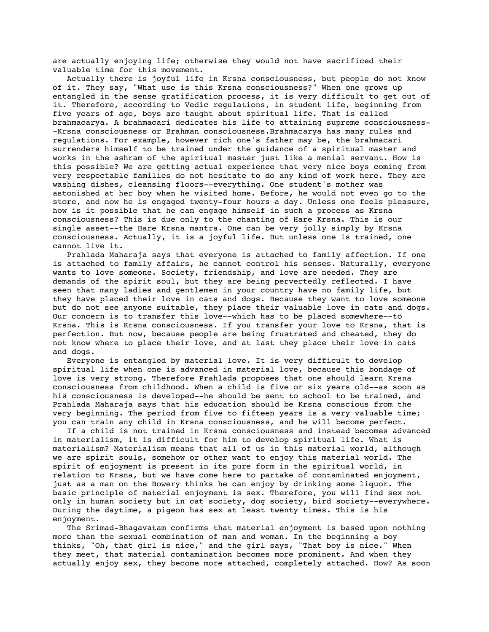are actually enjoying life; otherwise they would not have sacrificed their valuable time for this movement.

 Actually there is joyful life in Krsna consciousness, but people do not know of it. They say, "What use is this Krsna consciousness?" When one grows up entangled in the sense gratification process, it is very difficult to get out of it. Therefore, according to Vedic regulations, in student life, beginning from five years of age, boys are taught about spiritual life. That is called brahmacarya. A brahmacari dedicates his life to attaining supreme consciousness- -Krsna consciousness or Brahman consciousness.Brahmacarya has many rules and regulations. For example, however rich one's father may be, the brahmacari surrenders himself to be trained under the guidance of a spiritual master and works in the ashram of the spiritual master just like a menial servant. How is this possible? We are getting actual experience that very nice boys coming from very respectable families do not hesitate to do any kind of work here. They are washing dishes, cleansing floors--everything. One student's mother was astonished at her boy when he visited home. Before, he would not even go to the store, and now he is engaged twenty-four hours a day. Unless one feels pleasure, how is it possible that he can engage himself in such a process as Krsna consciousness? This is due only to the chanting of Hare Krsna. This is our single asset--the Hare Krsna mantra. One can be very jolly simply by Krsna consciousness. Actually, it is a joyful life. But unless one is trained, one cannot live it.

 Prahlada Maharaja says that everyone is attached to family affection. If one is attached to family affairs, he cannot control his senses. Naturally, everyone wants to love someone. Society, friendship, and love are needed. They are demands of the spirit soul, but they are being pervertedly reflected. I have seen that many ladies and gentlemen in your country have no family life, but they have placed their love in cats and dogs. Because they want to love someone but do not see anyone suitable, they place their valuable love in cats and dogs. Our concern is to transfer this love--which has to be placed somewhere--to Krsna. This is Krsna consciousness. If you transfer your love to Krsna, that is perfection. But now, because people are being frustrated and cheated, they do not know where to place their love, and at last they place their love in cats and dogs.

 Everyone is entangled by material love. It is very difficult to develop spiritual life when one is advanced in material love, because this bondage of love is very strong. Therefore Prahlada proposes that one should learn Krsna consciousness from childhood. When a child is five or six years old--as soon as his consciousness is developed--he should be sent to school to be trained, and Prahlada Maharaja says that his education should be Krsna conscious from the very beginning. The period from five to fifteen years is a very valuable time; you can train any child in Krsna consciousness, and he will become perfect.

 If a child is not trained in Krsna consciousness and instead becomes advanced in materialism, it is difficult for him to develop spiritual life. What is materialism? Materialism means that all of us in this material world, although we are spirit souls, somehow or other want to enjoy this material world. The spirit of enjoyment is present in its pure form in the spiritual world, in relation to Krsna, but we have come here to partake of contaminated enjoyment, just as a man on the Bowery thinks he can enjoy by drinking some liquor. The basic principle of material enjoyment is sex. Therefore, you will find sex not only in human society but in cat society, dog society, bird society--everywhere. During the daytime, a pigeon has sex at least twenty times. This is his enjoyment.

 The Srimad-Bhagavatam confirms that material enjoyment is based upon nothing more than the sexual combination of man and woman. In the beginning a boy thinks, "Oh, that girl is nice," and the girl says, "That boy is nice." When they meet, that material contamination becomes more prominent. And when they actually enjoy sex, they become more attached, completely attached. How? As soon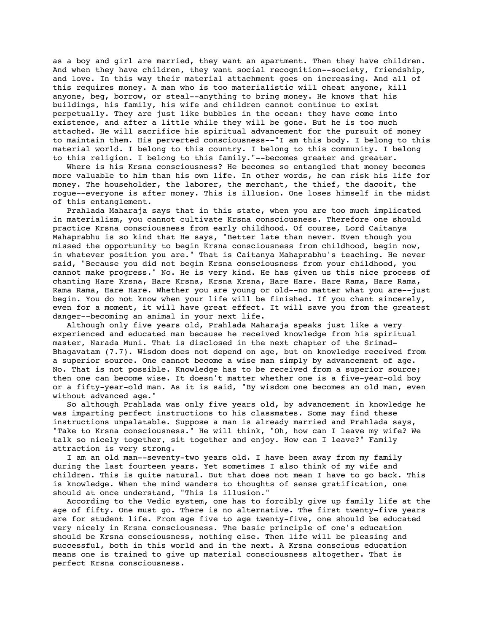as a boy and girl are married, they want an apartment. Then they have children. And when they have children, they want social recognition--society, friendship, and love. In this way their material attachment goes on increasing. And all of this requires money. A man who is too materialistic will cheat anyone, kill anyone, beg, borrow, or steal--anything to bring money. He knows that his buildings, his family, his wife and children cannot continue to exist perpetually. They are just like bubbles in the ocean: they have come into existence, and after a little while they will be gone. But he is too much attached. He will sacrifice his spiritual advancement for the pursuit of money to maintain them. His perverted consciousness--"I am this body. I belong to this material world. I belong to this country. I belong to this community. I belong to this religion. I belong to this family."--becomes greater and greater.

 Where is his Krsna consciousness? He becomes so entangled that money becomes more valuable to him than his own life. In other words, he can risk his life for money. The householder, the laborer, the merchant, the thief, the dacoit, the rogue--everyone is after money. This is illusion. One loses himself in the midst of this entanglement.

 Prahlada Maharaja says that in this state, when you are too much implicated in materialism, you cannot cultivate Krsna consciousness. Therefore one should practice Krsna consciousness from early childhood. Of course, Lord Caitanya Mahaprabhu is so kind that He says, "Better late than never. Even though you missed the opportunity to begin Krsna consciousness from childhood, begin now, in whatever position you are." That is Caitanya Mahaprabhu's teaching. He never said, "Because you did not begin Krsna consciousness from your childhood, you cannot make progress." No. He is very kind. He has given us this nice process of chanting Hare Krsna, Hare Krsna, Krsna Krsna, Hare Hare. Hare Rama, Hare Rama, Rama Rama, Hare Hare. Whether you are young or old--no matter what you are--just begin. You do not know when your life will be finished. If you chant sincerely, even for a moment, it will have great effect. It will save you from the greatest danger--becoming an animal in your next life.

 Although only five years old, Prahlada Maharaja speaks just like a very experienced and educated man because he received knowledge from his spiritual master, Narada Muni. That is disclosed in the next chapter of the Srimad-Bhagavatam (7.7). Wisdom does not depend on age, but on knowledge received from a superior source. One cannot become a wise man simply by advancement of age. No. That is not possible. Knowledge has to be received from a superior source; then one can become wise. It doesn't matter whether one is a five-year-old boy or a fifty-year-old man. As it is said, "By wisdom one becomes an old man, even without advanced age."

 So although Prahlada was only five years old, by advancement in knowledge he was imparting perfect instructions to his classmates. Some may find these instructions unpalatable. Suppose a man is already married and Prahlada says, "Take to Krsna consciousness." He will think, "Oh, how can I leave my wife? We talk so nicely together, sit together and enjoy. How can I leave?" Family attraction is very strong.

 I am an old man--seventy-two years old. I have been away from my family during the last fourteen years. Yet sometimes I also think of my wife and children. This is quite natural. But that does not mean I have to go back. This is knowledge. When the mind wanders to thoughts of sense gratification, one should at once understand, "This is illusion."

 According to the Vedic system, one has to forcibly give up family life at the age of fifty. One must go. There is no alternative. The first twenty-five years are for student life. From age five to age twenty-five, one should be educated very nicely in Krsna consciousness. The basic principle of one's education should be Krsna consciousness, nothing else. Then life will be pleasing and successful, both in this world and in the next. A Krsna conscious education means one is trained to give up material consciousness altogether. That is perfect Krsna consciousness.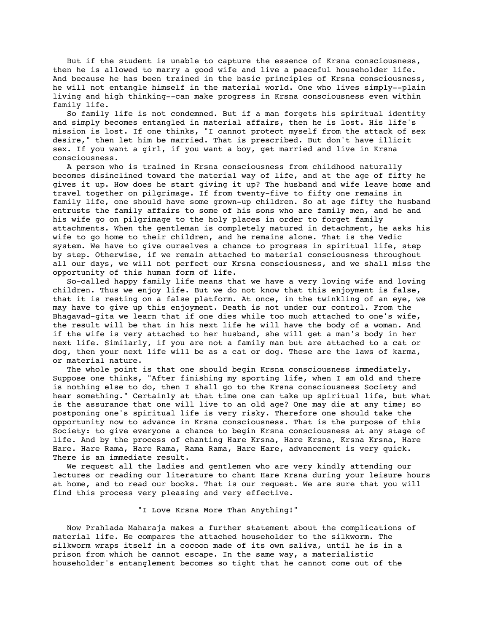But if the student is unable to capture the essence of Krsna consciousness, then he is allowed to marry a good wife and live a peaceful householder life. And because he has been trained in the basic principles of Krsna consciousness, he will not entangle himself in the material world. One who lives simply--plain living and high thinking--can make progress in Krsna consciousness even within family life.

 So family life is not condemned. But if a man forgets his spiritual identity and simply becomes entangled in material affairs, then he is lost. His life's mission is lost. If one thinks, "I cannot protect myself from the attack of sex desire," then let him be married. That is prescribed. But don't have illicit sex. If you want a girl, if you want a boy, get married and live in Krsna consciousness.

 A person who is trained in Krsna consciousness from childhood naturally becomes disinclined toward the material way of life, and at the age of fifty he gives it up. How does he start giving it up? The husband and wife leave home and travel together on pilgrimage. If from twenty-five to fifty one remains in family life, one should have some grown-up children. So at age fifty the husband entrusts the family affairs to some of his sons who are family men, and he and his wife go on pilgrimage to the holy places in order to forget family attachments. When the gentleman is completely matured in detachment, he asks his wife to go home to their children, and he remains alone. That is the Vedic system. We have to give ourselves a chance to progress in spiritual life, step by step. Otherwise, if we remain attached to material consciousness throughout all our days, we will not perfect our Krsna consciousness, and we shall miss the opportunity of this human form of life.

 So-called happy family life means that we have a very loving wife and loving children. Thus we enjoy life. But we do not know that this enjoyment is false, that it is resting on a false platform. At once, in the twinkling of an eye, we may have to give up this enjoyment. Death is not under our control. From the Bhagavad-gita we learn that if one dies while too much attached to one's wife, the result will be that in his next life he will have the body of a woman. And if the wife is very attached to her husband, she will get a man's body in her next life. Similarly, if you are not a family man but are attached to a cat or dog, then your next life will be as a cat or dog. These are the laws of karma, or material nature.

The whole point is that one should begin Krsna consciousness immediately. Suppose one thinks, "After finishing my sporting life, when I am old and there is nothing else to do, then I shall go to the Krsna consciousness Society and hear something." Certainly at that time one can take up spiritual life, but what is the assurance that one will live to an old age? One may die at any time; so postponing one's spiritual life is very risky. Therefore one should take the opportunity now to advance in Krsna consciousness. That is the purpose of this Society: to give everyone a chance to begin Krsna consciousness at any stage of life. And by the process of chanting Hare Krsna, Hare Krsna, Krsna Krsna, Hare Hare. Hare Rama, Hare Rama, Rama Rama, Hare Hare, advancement is very quick. There is an immediate result.

 We request all the ladies and gentlemen who are very kindly attending our lectures or reading our literature to chant Hare Krsna during your leisure hours at home, and to read our books. That is our request. We are sure that you will find this process very pleasing and very effective.

#### "I Love Krsna More Than Anything!"

 Now Prahlada Maharaja makes a further statement about the complications of material life. He compares the attached householder to the silkworm. The silkworm wraps itself in a cocoon made of its own saliva, until he is in a prison from which he cannot escape. In the same way, a materialistic householder's entanglement becomes so tight that he cannot come out of the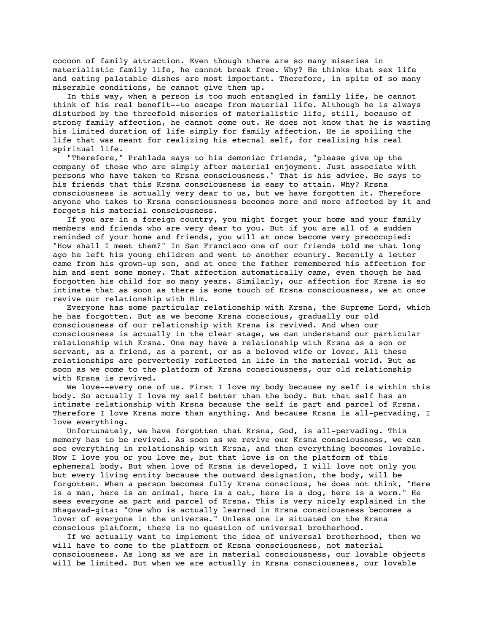cocoon of family attraction. Even though there are so many miseries in materialistic family life, he cannot break free. Why? He thinks that sex life and eating palatable dishes are most important. Therefore, in spite of so many miserable conditions, he cannot give them up.

 In this way, when a person is too much entangled in family life, he cannot think of his real benefit--to escape from material life. Although he is always disturbed by the threefold miseries of materialistic life, still, because of strong family affection, he cannot come out. He does not know that he is wasting his limited duration of life simply for family affection. He is spoiling the life that was meant for realizing his eternal self, for realizing his real spiritual life.

 "Therefore," Prahlada says to his demoniac friends, "please give up the company of those who are simply after material enjoyment. Just associate with persons who have taken to Krsna consciousness." That is his advice. He says to his friends that this Krsna consciousness is easy to attain. Why? Krsna consciousness is actually very dear to us, but we have forgotten it. Therefore anyone who takes to Krsna consciousness becomes more and more affected by it and forgets his material consciousness.

 If you are in a foreign country, you might forget your home and your family members and friends who are very dear to you. But if you are all of a sudden reminded of your home and friends, you will at once become very preoccupied: "How shall I meet them?" In San Francisco one of our friends told me that long ago he left his young children and went to another country. Recently a letter came from his grown-up son, and at once the father remembered his affection for him and sent some money. That affection automatically came, even though he had forgotten his child for so many years. Similarly, our affection for Krsna is so intimate that as soon as there is some touch of Krsna consciousness, we at once revive our relationship with Him.

 Everyone has some particular relationship with Krsna, the Supreme Lord, which he has forgotten. But as we become Krsna conscious, gradually our old consciousness of our relationship with Krsna is revived. And when our consciousness is actually in the clear stage, we can understand our particular relationship with Krsna. One may have a relationship with Krsna as a son or servant, as a friend, as a parent, or as a beloved wife or lover. All these relationships are pervertedly reflected in life in the material world. But as soon as we come to the platform of Krsna consciousness, our old relationship with Krsna is revived.

We love--every one of us. First I love my body because my self is within this body. So actually I love my self better than the body. But that self has an intimate relationship with Krsna because the self is part and parcel of Krsna. Therefore I love Krsna more than anything. And because Krsna is all-pervading, I love everything.

 Unfortunately, we have forgotten that Krsna, God, is all-pervading. This memory has to be revived. As soon as we revive our Krsna consciousness, we can see everything in relationship with Krsna, and then everything becomes lovable. Now I love you or you love me, but that love is on the platform of this ephemeral body. But when love of Krsna is developed, I will love not only you but every living entity because the outward designation, the body, will be forgotten. When a person becomes fully Krsna conscious, he does not think, "Here is a man, here is an animal, here is a cat, here is a dog, here is a worm." He sees everyone as part and parcel of Krsna. This is very nicely explained in the Bhagavad-gita: "One who is actually learned in Krsna consciousness becomes a lover of everyone in the universe." Unless one is situated on the Krsna conscious platform, there is no question of universal brotherhood.

 If we actually want to implement the idea of universal brotherhood, then we will have to come to the platform of Krsna consciousness, not material consciousness. As long as we are in material consciousness, our lovable objects will be limited. But when we are actually in Krsna consciousness, our lovable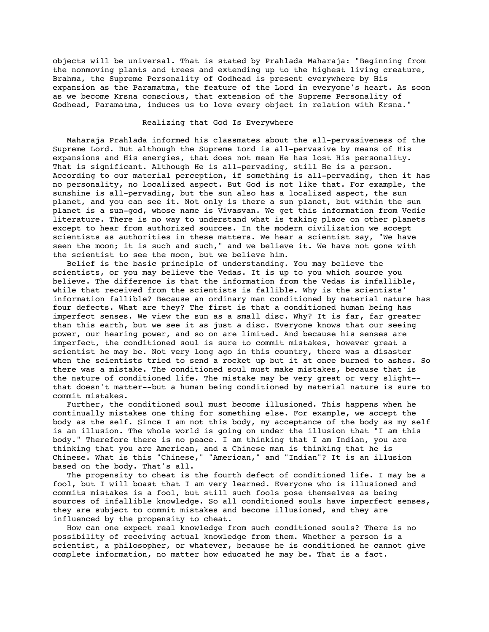objects will be universal. That is stated by Prahlada Maharaja: "Beginning from the nonmoving plants and trees and extending up to the highest living creature, Brahma, the Supreme Personality of Godhead is present everywhere by His expansion as the Paramatma, the feature of the Lord in everyone's heart. As soon as we become Krsna conscious, that extension of the Supreme Personality of Godhead, Paramatma, induces us to love every object in relation with Krsna."

# Realizing that God Is Everywhere

 Maharaja Prahlada informed his classmates about the all-pervasiveness of the Supreme Lord. But although the Supreme Lord is all-pervasive by means of His expansions and His energies, that does not mean He has lost His personality. That is significant. Although He is all-pervading, still He is a person. According to our material perception, if something is all-pervading, then it has no personality, no localized aspect. But God is not like that. For example, the sunshine is all-pervading, but the sun also has a localized aspect, the sun planet, and you can see it. Not only is there a sun planet, but within the sun planet is a sun-god, whose name is Vivasvan. We get this information from Vedic literature. There is no way to understand what is taking place on other planets except to hear from authorized sources. In the modern civilization we accept scientists as authorities in these matters. We hear a scientist say, "We have seen the moon; it is such and such," and we believe it. We have not gone with the scientist to see the moon, but we believe him.

 Belief is the basic principle of understanding. You may believe the scientists, or you may believe the Vedas. It is up to you which source you believe. The difference is that the information from the Vedas is infallible, while that received from the scientists is fallible. Why is the scientists' information fallible? Because an ordinary man conditioned by material nature has four defects. What are they? The first is that a conditioned human being has imperfect senses. We view the sun as a small disc. Why? It is far, far greater than this earth, but we see it as just a disc. Everyone knows that our seeing power, our hearing power, and so on are limited. And because his senses are imperfect, the conditioned soul is sure to commit mistakes, however great a scientist he may be. Not very long ago in this country, there was a disaster when the scientists tried to send a rocket up but it at once burned to ashes. So there was a mistake. The conditioned soul must make mistakes, because that is the nature of conditioned life. The mistake may be very great or very slight- that doesn't matter--but a human being conditioned by material nature is sure to commit mistakes.

 Further, the conditioned soul must become illusioned. This happens when he continually mistakes one thing for something else. For example, we accept the body as the self. Since I am not this body, my acceptance of the body as my self is an illusion. The whole world is going on under the illusion that "I am this body." Therefore there is no peace. I am thinking that I am Indian, you are thinking that you are American, and a Chinese man is thinking that he is Chinese. What is this "Chinese," "American," and "Indian"? It is an illusion based on the body. That's all.

 The propensity to cheat is the fourth defect of conditioned life. I may be a fool, but I will boast that I am very learned. Everyone who is illusioned and commits mistakes is a fool, but still such fools pose themselves as being sources of infallible knowledge. So all conditioned souls have imperfect senses, they are subject to commit mistakes and become illusioned, and they are influenced by the propensity to cheat.

 How can one expect real knowledge from such conditioned souls? There is no possibility of receiving actual knowledge from them. Whether a person is a scientist, a philosopher, or whatever, because he is conditioned he cannot give complete information, no matter how educated he may be. That is a fact.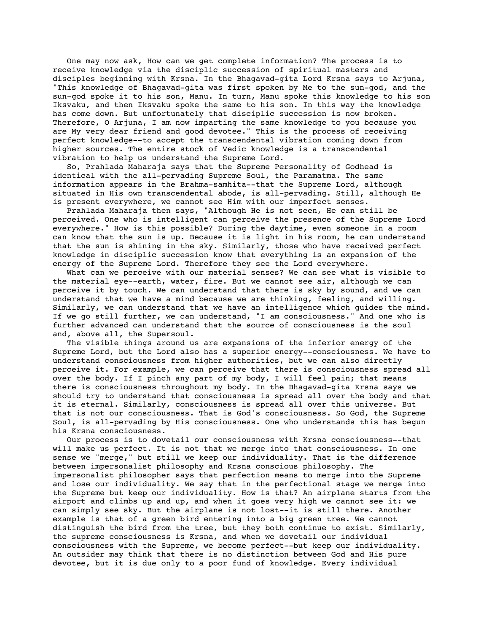One may now ask, How can we get complete information? The process is to receive knowledge via the disciplic succession of spiritual masters and disciples beginning with Krsna. In the Bhagavad-gita Lord Krsna says to Arjuna, "This knowledge of Bhagavad-gita was first spoken by Me to the sun-god, and the sun-god spoke it to his son, Manu. In turn, Manu spoke this knowledge to his son Iksvaku, and then Iksvaku spoke the same to his son. In this way the knowledge has come down. But unfortunately that disciplic succession is now broken. Therefore, O Arjuna, I am now imparting the same knowledge to you because you are My very dear friend and good devotee." This is the process of receiving perfect knowledge--to accept the transcendental vibration coming down from higher sources. The entire stock of Vedic knowledge is a transcendental vibration to help us understand the Supreme Lord.

 So, Prahlada Maharaja says that the Supreme Personality of Godhead is identical with the all-pervading Supreme Soul, the Paramatma. The same information appears in the Brahma-samhita--that the Supreme Lord, although situated in His own transcendental abode, is all-pervading. Still, although He is present everywhere, we cannot see Him with our imperfect senses.

 Prahlada Maharaja then says, "Although He is not seen, He can still be perceived. One who is intelligent can perceive the presence of the Supreme Lord everywhere." How is this possible? During the daytime, even someone in a room can know that the sun is up. Because it is light in his room, he can understand that the sun is shining in the sky. Similarly, those who have received perfect knowledge in disciplic succession know that everything is an expansion of the energy of the Supreme Lord. Therefore they see the Lord everywhere.

 What can we perceive with our material senses? We can see what is visible to the material eye--earth, water, fire. But we cannot see air, although we can perceive it by touch. We can understand that there is sky by sound, and we can understand that we have a mind because we are thinking, feeling, and willing. Similarly, we can understand that we have an intelligence which guides the mind. If we go still further, we can understand, "I am consciousness." And one who is further advanced can understand that the source of consciousness is the soul and, above all, the Supersoul.

 The visible things around us are expansions of the inferior energy of the Supreme Lord, but the Lord also has a superior energy--consciousness. We have to understand consciousness from higher authorities, but we can also directly perceive it. For example, we can perceive that there is consciousness spread all over the body. If I pinch any part of my body, I will feel pain; that means there is consciousness throughout my body. In the Bhagavad-gita Krsna says we should try to understand that consciousness is spread all over the body and that it is eternal. Similarly, consciousness is spread all over this universe. But that is not our consciousness. That is God's consciousness. So God, the Supreme Soul, is all-pervading by His consciousness. One who understands this has begun his Krsna consciousness.

 Our process is to dovetail our consciousness with Krsna consciousness--that will make us perfect. It is not that we merge into that consciousness. In one sense we "merge," but still we keep our individuality. That is the difference between impersonalist philosophy and Krsna conscious philosophy. The impersonalist philosopher says that perfection means to merge into the Supreme and lose our individuality. We say that in the perfectional stage we merge into the Supreme but keep our individuality. How is that? An airplane starts from the airport and climbs up and up, and when it goes very high we cannot see it: we can simply see sky. But the airplane is not lost--it is still there. Another example is that of a green bird entering into a big green tree. We cannot distinguish the bird from the tree, but they both continue to exist. Similarly, the supreme consciousness is Krsna, and when we dovetail our individual consciousness with the Supreme, we become perfect--but keep our individuality. An outsider may think that there is no distinction between God and His pure devotee, but it is due only to a poor fund of knowledge. Every individual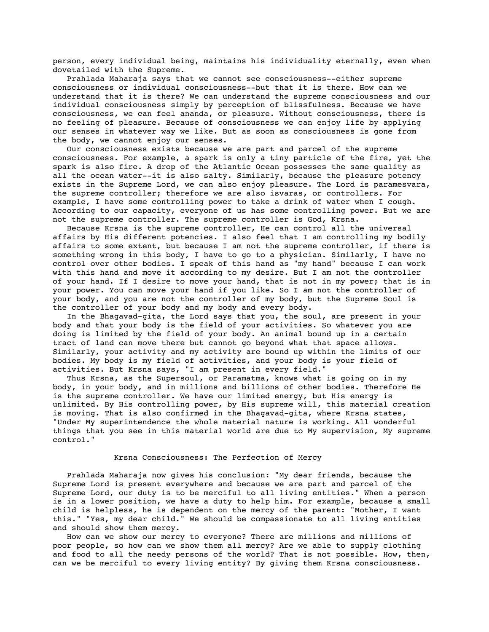person, every individual being, maintains his individuality eternally, even when dovetailed with the Supreme.

 Prahlada Maharaja says that we cannot see consciousness--either supreme consciousness or individual consciousness--but that it is there. How can we understand that it is there? We can understand the supreme consciousness and our individual consciousness simply by perception of blissfulness. Because we have consciousness, we can feel ananda, or pleasure. Without consciousness, there is no feeling of pleasure. Because of consciousness we can enjoy life by applying our senses in whatever way we like. But as soon as consciousness is gone from the body, we cannot enjoy our senses.

 Our consciousness exists because we are part and parcel of the supreme consciousness. For example, a spark is only a tiny particle of the fire, yet the spark is also fire. A drop of the Atlantic Ocean possesses the same quality as all the ocean water--it is also salty. Similarly, because the pleasure potency exists in the Supreme Lord, we can also enjoy pleasure. The Lord is paramesvara, the supreme controller; therefore we are also isvaras, or controllers. For example, I have some controlling power to take a drink of water when I cough. According to our capacity, everyone of us has some controlling power. But we are not the supreme controller. The supreme controller is God, Krsna.

 Because Krsna is the supreme controller, He can control all the universal affairs by His different potencies. I also feel that I am controlling my bodily affairs to some extent, but because I am not the supreme controller, if there is something wrong in this body, I have to go to a physician. Similarly, I have no control over other bodies. I speak of this hand as "my hand" because I can work with this hand and move it according to my desire. But I am not the controller of your hand. If I desire to move your hand, that is not in my power; that is in your power. You can move your hand if you like. So I am not the controller of your body, and you are not the controller of my body, but the Supreme Soul is the controller of your body and my body and every body.

 In the Bhagavad-gita, the Lord says that you, the soul, are present in your body and that your body is the field of your activities. So whatever you are doing is limited by the field of your body. An animal bound up in a certain tract of land can move there but cannot go beyond what that space allows. Similarly, your activity and my activity are bound up within the limits of our bodies. My body is my field of activities, and your body is your field of activities. But Krsna says, "I am present in every field."

 Thus Krsna, as the Supersoul, or Paramatma, knows what is going on in my body, in your body, and in millions and billions of other bodies. Therefore He is the supreme controller. We have our limited energy, but His energy is unlimited. By His controlling power, by His supreme will, this material creation is moving. That is also confirmed in the Bhagavad-gita, where Krsna states, "Under My superintendence the whole material nature is working. All wonderful things that you see in this material world are due to My supervision, My supreme control."

### Krsna Consciousness: The Perfection of Mercy

 Prahlada Maharaja now gives his conclusion: "My dear friends, because the Supreme Lord is present everywhere and because we are part and parcel of the Supreme Lord, our duty is to be merciful to all living entities." When a person is in a lower position, we have a duty to help him. For example, because a small child is helpless, he is dependent on the mercy of the parent: "Mother, I want this." "Yes, my dear child." We should be compassionate to all living entities and should show them mercy.

 How can we show our mercy to everyone? There are millions and millions of poor people, so how can we show them all mercy? Are we able to supply clothing and food to all the needy persons of the world? That is not possible. How, then, can we be merciful to every living entity? By giving them Krsna consciousness.